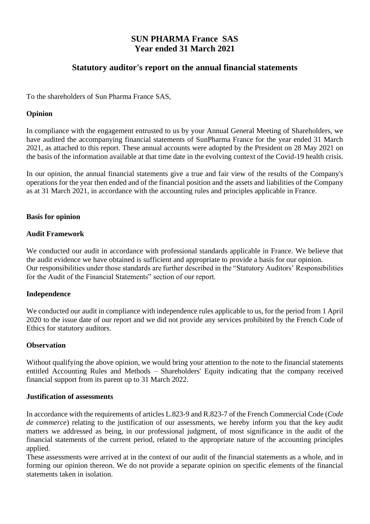#### **SUN PHARMA France SAS Year ended 31 March 2021**

#### **Statutory auditor's report on the annual financial statements**

To the shareholders of Sun Pharma France SAS,

#### **Opinion**

In compliance with the engagement entrusted to us by your Annual General Meeting of Shareholders, we have audited the accompanying financial statements of SunPharma France for the year ended 31 March 2021, as attached to this report. These annual accounts were adopted by the President on 28 May 2021 on the basis of the information available at that time date in the evolving context of the Covid-19 health crisis.

In our opinion, the annual financial statements give a true and fair view of the results of the Company's operations for the year then ended and of the financial position and the assets and liabilities of the Company as at 31 March 2021, in accordance with the accounting rules and principles applicable in France.

#### **Basis for opinion**

#### **Audit Framework**

We conducted our audit in accordance with professional standards applicable in France. We believe that the audit evidence we have obtained is sufficient and appropriate to provide a basis for our opinion. Our responsibilities under those standards are further described in the "Statutory Auditors' Responsibilities for the Audit of the Financial Statements" section of our report.

#### **Independence**

We conducted our audit in compliance with independence rules applicable to us, for the period from 1 April 2020 to the issue date of our report and we did not provide any services prohibited by the French Code of Ethics for statutory auditors.

#### **Observation**

Without qualifying the above opinion, we would bring your attention to the note to the financial statements entitled Accounting Rules and Methods – Shareholders' Equity indicating that the company received financial support from its parent up to 31 March 2022.

#### **Justification of assessments**

In accordance with the requirements of articles L.823-9 and R.823-7 of the French Commercial Code (*Code de commerce*) relating to the justification of our assessments, we hereby inform you that the key audit matters we addressed as being, in our professional judgment, of most significance in the audit of the financial statements of the current period, related to the appropriate nature of the accounting principles applied.

These assessments were arrived at in the context of our audit of the financial statements as a whole, and in forming our opinion thereon. We do not provide a separate opinion on specific elements of the financial statements taken in isolation.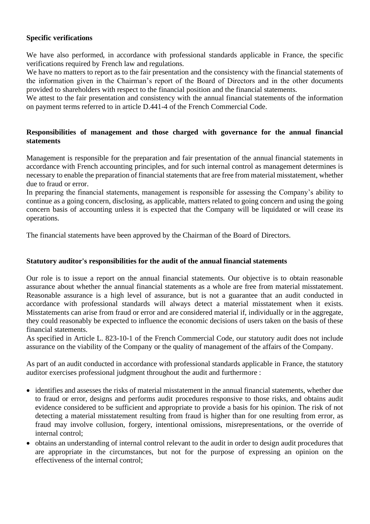#### **Specific verifications**

We have also performed, in accordance with professional standards applicable in France, the specific verifications required by French law and regulations.

We have no matters to report as to the fair presentation and the consistency with the financial statements of the information given in the Chairman's report of the Board of Directors and in the other documents provided to shareholders with respect to the financial position and the financial statements.

We attest to the fair presentation and consistency with the annual financial statements of the information on payment terms referred to in article D.441-4 of the French Commercial Code.

#### **Responsibilities of management and those charged with governance for the annual financial statements**

Management is responsible for the preparation and fair presentation of the annual financial statements in accordance with French accounting principles, and for such internal control as management determines is necessary to enable the preparation of financial statements that are free from material misstatement, whether due to fraud or error.

In preparing the financial statements, management is responsible for assessing the Company's ability to continue as a going concern, disclosing, as applicable, matters related to going concern and using the going concern basis of accounting unless it is expected that the Company will be liquidated or will cease its operations.

The financial statements have been approved by the Chairman of the Board of Directors.

#### **Statutory auditor's responsibilities for the audit of the annual financial statements**

Our role is to issue a report on the annual financial statements. Our objective is to obtain reasonable assurance about whether the annual financial statements as a whole are free from material misstatement. Reasonable assurance is a high level of assurance, but is not a guarantee that an audit conducted in accordance with professional standards will always detect a material misstatement when it exists. Misstatements can arise from fraud or error and are considered material if, individually or in the aggregate, they could reasonably be expected to influence the economic decisions of users taken on the basis of these financial statements.

As specified in Article L. 823-10-1 of the French Commercial Code, our statutory audit does not include assurance on the viability of the Company or the quality of management of the affairs of the Company.

As part of an audit conducted in accordance with professional standards applicable in France, the statutory auditor exercises professional judgment throughout the audit and furthermore :

- identifies and assesses the risks of material misstatement in the annual financial statements, whether due to fraud or error, designs and performs audit procedures responsive to those risks, and obtains audit evidence considered to be sufficient and appropriate to provide a basis for his opinion. The risk of not detecting a material misstatement resulting from fraud is higher than for one resulting from error, as fraud may involve collusion, forgery, intentional omissions, misrepresentations, or the override of internal control;
- obtains an understanding of internal control relevant to the audit in order to design audit procedures that are appropriate in the circumstances, but not for the purpose of expressing an opinion on the effectiveness of the internal control;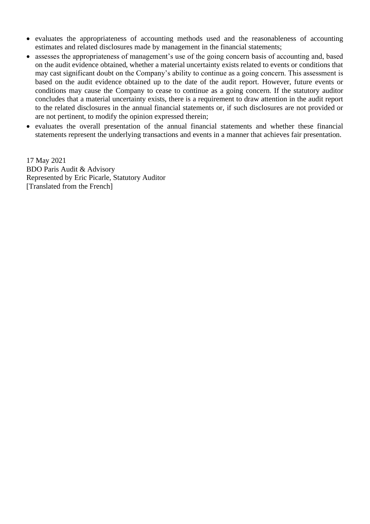- evaluates the appropriateness of accounting methods used and the reasonableness of accounting estimates and related disclosures made by management in the financial statements;
- assesses the appropriateness of management's use of the going concern basis of accounting and, based on the audit evidence obtained, whether a material uncertainty exists related to events or conditions that may cast significant doubt on the Company's ability to continue as a going concern. This assessment is based on the audit evidence obtained up to the date of the audit report. However, future events or conditions may cause the Company to cease to continue as a going concern. If the statutory auditor concludes that a material uncertainty exists, there is a requirement to draw attention in the audit report to the related disclosures in the annual financial statements or, if such disclosures are not provided or are not pertinent, to modify the opinion expressed therein;
- evaluates the overall presentation of the annual financial statements and whether these financial statements represent the underlying transactions and events in a manner that achieves fair presentation.

17 May 2021 BDO Paris Audit & Advisory Represented by Eric Picarle, Statutory Auditor [Translated from the French]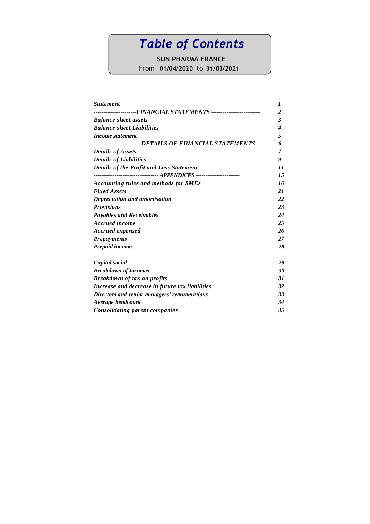### *Table of Contents*

### **SUN PHARMA FRANCE**

From **01/04/2020** to **31/03/2021**

| <b>Statement</b>                                                    | 1                       |
|---------------------------------------------------------------------|-------------------------|
|                                                                     | $\overline{\mathbf{c}}$ |
| <b>Balance sheet assets</b>                                         | 3                       |
| <b>Balance sheet Liabilities</b>                                    | 4                       |
| Income statement                                                    | 5                       |
| ------------------DETAILS OF FINANCIAL STATEMENTS-----------        | -6                      |
| <b>Details of Assets</b>                                            | 7                       |
| <b>Details of Liabilities</b>                                       | 9                       |
| <b>Details of the Profit and Loss Statement</b>                     | 11                      |
| --------------------------------- APPENDICES ---------------------- | 15                      |
| Accounting rules and methods for SMEs                               | 16                      |
| <b>Fixed Assets</b>                                                 | 21                      |
| Depreciation and amortisation                                       | 22                      |
| <b>Provisions</b>                                                   | 23                      |
| <b>Payables and Receivables</b>                                     | 24                      |
| Accrued income                                                      | 25                      |
| <b>Accrued expensed</b>                                             | 26                      |
| <b>Prepayments</b>                                                  | 27                      |
| <b>Prepaid income</b>                                               | 28                      |
| Capital social                                                      | 29                      |
| <b>Breakdown of turnover</b>                                        | 30                      |
| <b>Breakdown of tax on profits</b>                                  | 31                      |
| Increase and decrease in future tax liabilities                     | 32                      |
| Directors and senior managers' remunerations                        | 33                      |
| Average headcount                                                   | 34                      |
| <b>Consolidating parent companies</b>                               | 35                      |
|                                                                     |                         |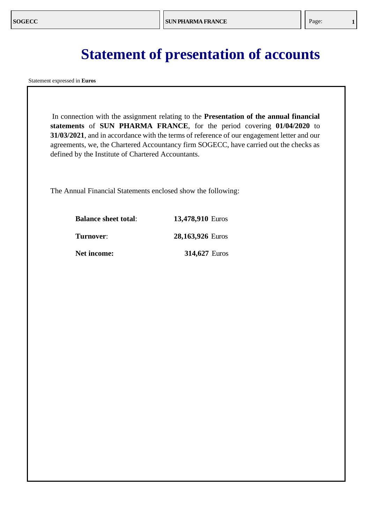### **Statement of presentation of accounts**

Statement expressed in **Euros**

In connection with the assignment relating to the **Presentation of the annual financial statements** of **SUN PHARMA FRANCE**, for the period covering **01/04/2020** to **31/03/2021**, and in accordance with the terms of reference of our engagement letter and our agreements, we, the Chartered Accountancy firm SOGECC, have carried out the checks as defined by the Institute of Chartered Accountants.

The Annual Financial Statements enclosed show the following:

| <b>Balance sheet total:</b> | 13,478,910 Euros     |
|-----------------------------|----------------------|
| Turnover:                   | 28,163,926 Euros     |
| <b>Net income:</b>          | <b>314,627 Euros</b> |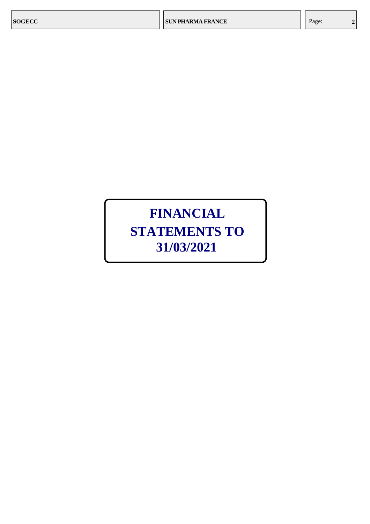### **FINANCIAL STATEMENTS TO 31/03/2021**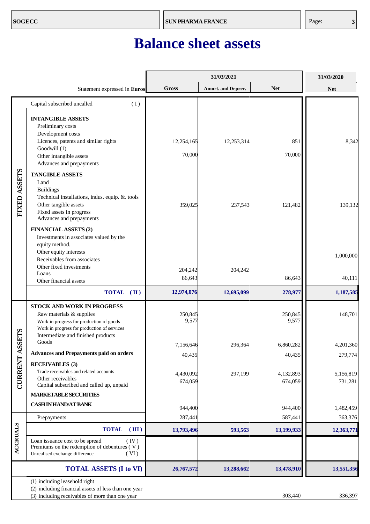### **Balance sheet assets**

<span id="page-6-0"></span>

|                  |                                                                                                                                                                                                                   |                      | 31/03/2021                |                      | 31/03/2020           |
|------------------|-------------------------------------------------------------------------------------------------------------------------------------------------------------------------------------------------------------------|----------------------|---------------------------|----------------------|----------------------|
|                  | Statement expressed in Euros                                                                                                                                                                                      | <b>Gross</b>         | <b>Amort.</b> and Deprec. | <b>Net</b>           | <b>Net</b>           |
|                  | Capital subscribed uncalled<br>(1)                                                                                                                                                                                |                      |                           |                      |                      |
|                  | <b>INTANGIBLE ASSETS</b><br>Preliminary costs<br>Development costs<br>Licences, patents and similar rights<br>Goodwill (1)<br>Other intangible assets                                                             | 12,254,165<br>70,000 | 12,253,314                | 851<br>70,000        | 8,342                |
| FIXED ASSETS     | Advances and prepayments<br><b>TANGIBLE ASSETS</b><br>Land<br><b>Buildings</b><br>Technical installations, indus. equip. & tools<br>Other tangible assets<br>Fixed assets in progress<br>Advances and prepayments | 359,025              | 237,543                   | 121,482              | 139,132              |
|                  | <b>FINANCIAL ASSETS (2)</b><br>Investments in associates valued by the<br>equity method.<br>Other equity interests<br>Receivables from associates<br>Other fixed investments<br>Loans<br>Other financial assets   | 204,242<br>86,643    | 204,242                   | 86,643               | 1,000,000<br>40,111  |
|                  | <b>TOTAL</b><br>$(\mathbf{II})$                                                                                                                                                                                   | 12,974,076           | 12,695,099                | 278,977              | 1,187,585            |
| <b>SSETS</b>     | STOCK AND WORK IN PROGRESS<br>Raw materials & supplies<br>Work in progress for production of goods<br>Work in progress for production of services<br>Intermediate and finished products                           | 250,845<br>9,577     |                           | 250,845<br>9,577     | 148,701              |
|                  | Goods                                                                                                                                                                                                             | 7,156,646            | 296,364                   | 6,860,282            | 4,201,360            |
|                  | <b>Advances and Prepayments paid on orders</b>                                                                                                                                                                    | 40,435               |                           | 40,435               | 279,774              |
| <b>CURRENT A</b> | <b>RECEIVABLES</b> (3)<br>Trade receivables and related accounts<br>Other receivables<br>Capital subscribed and called up, unpaid                                                                                 | 4,430,092<br>674,059 | 297,199                   | 4,132,893<br>674,059 | 5,156,819<br>731,281 |
|                  | <b>MARKETABLE SECURITIES</b>                                                                                                                                                                                      |                      |                           |                      |                      |
|                  | <b>CASH IN HAND/AT BANK</b>                                                                                                                                                                                       | 944,400              |                           | 944,400              | 1,482,459            |
|                  | Prepayments                                                                                                                                                                                                       | 287,441              |                           | 587,441              | 363,376              |
| <b>ACCRUALS</b>  | <b>TOTAL</b><br>(III)                                                                                                                                                                                             | 13,793,496           | 593,563                   | 13,199,933           | 12,363,771           |
|                  | Loan issuance cost to be spread<br>(IV)<br>Premiums on the redemption of debentures $(V)$<br>Unrealised exchange difference<br>(VI)                                                                               |                      |                           |                      |                      |
|                  | <b>TOTAL ASSETS (I to VI)</b>                                                                                                                                                                                     | 26,767,572           | 13,288,662                | 13,478,910           | 13,551,356           |
|                  | (1) including leasehold right<br>(2) including financial assets of less than one year<br>(3) including receivables of more than one year                                                                          |                      |                           | 303,440              | 336,397              |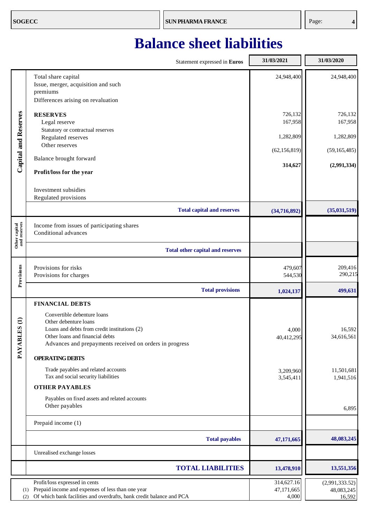### <span id="page-7-0"></span>**Balance sheet liabilities**

|                               | Statement expressed in Euros                                                                                              | 31/03/2021          | 31/03/2020           |
|-------------------------------|---------------------------------------------------------------------------------------------------------------------------|---------------------|----------------------|
|                               | Total share capital<br>Issue, merger, acquisition and such<br>premiums                                                    | 24,948,400          | 24,948,400           |
|                               | Differences arising on revaluation                                                                                        |                     |                      |
| Capital and Reserves          | <b>RESERVES</b><br>Legal reserve                                                                                          | 726,132<br>167,958  | 726,132<br>167,958   |
|                               | Statutory or contractual reserves<br>Regulated reserves                                                                   | 1,282,809           | 1,282,809            |
|                               | Other reserves                                                                                                            | (62, 156, 819)      | (59, 165, 485)       |
|                               | Balance brought forward                                                                                                   | 314,627             | (2,991,334)          |
|                               | Profit/loss for the year                                                                                                  |                     |                      |
|                               | Investment subsidies<br>Regulated provisions                                                                              |                     |                      |
|                               | <b>Total capital and reserves</b>                                                                                         | (34,716,892)        | (35,031,519)         |
| Other capital<br>and reserves | Income from issues of participating shares<br>Conditional advances                                                        |                     |                      |
|                               | <b>Total other capital and reserves</b>                                                                                   |                     |                      |
| Provisions                    | Provisions for risks<br>Provisions for charges                                                                            | 479,607<br>544,530  | 209,416<br>290,215   |
|                               | <b>Total provisions</b>                                                                                                   | 1,024,137           | 499,631              |
|                               | <b>FINANCIAL DEBTS</b>                                                                                                    |                     |                      |
| $\widehat{a}$                 | Convertible debenture loans<br>Other debenture loans                                                                      |                     |                      |
| $\mathbf{S}_\mathbf{B}$       | Loans and debts from credit institutions (2)                                                                              | 4,000               | 16,592               |
| PAYABL                        | Other loans and financial debts<br>Advances and prepayments received on orders in progress                                | 40,412,295          | 34,616,561           |
|                               | <b>OPERATING DEBTS</b>                                                                                                    |                     |                      |
|                               | Trade payables and related accounts                                                                                       | 3,209,960           | 11,501,681           |
|                               | Tax and social security liabilities                                                                                       | 3,545,411           | 1,941,516            |
|                               | <b>OTHER PAYABLES</b><br>Payables on fixed assets and related accounts                                                    |                     |                      |
|                               | Other payables                                                                                                            |                     | 6,895                |
|                               | Prepaid income (1)                                                                                                        |                     |                      |
|                               | <b>Total payables</b>                                                                                                     | 47,171,665          | 48,083,245           |
|                               | Unrealised exchange losses                                                                                                |                     |                      |
|                               | <b>TOTAL LIABILITIES</b>                                                                                                  | 13,478,910          | 13,551,356           |
|                               | Profit/loss expressed in cents                                                                                            | 314,627.16          | (2,991,333.52)       |
| (1)<br>(2)                    | Prepaid income and expenses of less than one year<br>Of which bank facilities and overdrafts, bank credit balance and PCA | 47,171,665<br>4,000 | 48,083,245<br>16,592 |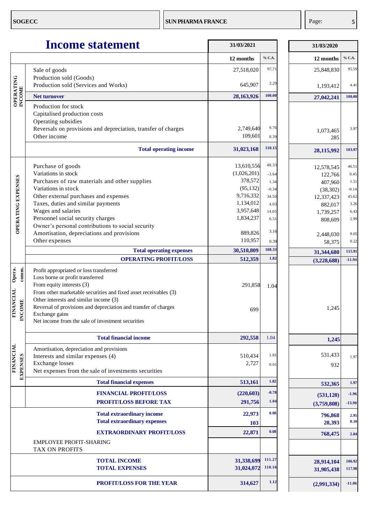<span id="page-8-0"></span>

|                                                          | <b>Income statement</b>                                                                                                                                                                                                                                                                                                                                          | 31/03/2021               |                  | 31/03/2020               |                  |
|----------------------------------------------------------|------------------------------------------------------------------------------------------------------------------------------------------------------------------------------------------------------------------------------------------------------------------------------------------------------------------------------------------------------------------|--------------------------|------------------|--------------------------|------------------|
|                                                          |                                                                                                                                                                                                                                                                                                                                                                  | 12 months                | % C.A.           | 12 months                | % C.A.           |
|                                                          | Sale of goods<br>Production sold (Goods)                                                                                                                                                                                                                                                                                                                         | 27,518,020               | 97,71            | 25,848,830               | 95.59            |
| <b>OPERATING</b>                                         | Production sold (Services and Works)                                                                                                                                                                                                                                                                                                                             | 645,907                  | 2.29             | 1,193,412                | 4.41             |
| <b>INCOME</b>                                            | <b>Net turnover</b>                                                                                                                                                                                                                                                                                                                                              | 28,163,926               | 100.00           | 27,042,241               | 100.00           |
|                                                          | Production for stock<br>Capitalised production costs<br>Operating subsidies<br>Reversals on provisions and depreciation, transfer of charges<br>Other income                                                                                                                                                                                                     | 2,749,640<br>109,601     | 9.76<br>0.39     | 1,073,465<br>285         | 3.97             |
|                                                          | <b>Total operating income</b>                                                                                                                                                                                                                                                                                                                                    | 31,023,168               | 110.15           | 28,115,992               | 103.97           |
|                                                          | Purchase of goods                                                                                                                                                                                                                                                                                                                                                | 13,610,556               | 48.33            | 12,578,545               | 46.51            |
|                                                          | Variations in stock                                                                                                                                                                                                                                                                                                                                              | (1,026,201)              | $-3.64$          | 122,766                  | 0.45             |
|                                                          | Purchases of raw materials and other supplies                                                                                                                                                                                                                                                                                                                    | 378,572                  | 1.34             | 407,960                  | 1.51             |
| OPERATING EXPENSES                                       | Variations in stock                                                                                                                                                                                                                                                                                                                                              | (95, 132)                | $-0.34$          | (38, 302)                | $-0.14$          |
|                                                          | Other external purchases and expenses                                                                                                                                                                                                                                                                                                                            | 9,716,332                | 34.50            | 12,337,423               | 45.62            |
|                                                          | Taxes, duties and similar payments                                                                                                                                                                                                                                                                                                                               | 1,134,012                | 4.03             | 882,017                  | 3.26             |
|                                                          | Wages and salaries                                                                                                                                                                                                                                                                                                                                               | 3,957,648                | 14.05            | 1,739,257                | 6.43             |
|                                                          | Personnel social security charges                                                                                                                                                                                                                                                                                                                                | 1,834,237                | 6.51             | 808,609                  | 2.99             |
|                                                          | Owner's personal contributions to social security                                                                                                                                                                                                                                                                                                                |                          |                  |                          |                  |
|                                                          | Amortisation, depreciations and provisions                                                                                                                                                                                                                                                                                                                       | 889,826                  | 3.16             | 2,448,030                | 9.05             |
|                                                          | Other expenses                                                                                                                                                                                                                                                                                                                                                   | 110,957                  | 0.39             | 58,375                   | 0.22             |
|                                                          | <b>Total operating expenses</b>                                                                                                                                                                                                                                                                                                                                  | 30,510,809               | 108.33           | 31,344,680               | 115.91           |
|                                                          | <b>OPERATING PROFIT/LOSS</b>                                                                                                                                                                                                                                                                                                                                     | 512,359                  | 1.82             | (3,228,688)              | $-11.94$         |
| Opera.<br>comm.<br><b>FINANCIAL</b><br><b>ICOME</b><br>Ξ | Profit appropriated or loss transferred<br>Loss borne or profit transferred<br>From equity interests (3)<br>From other marketable securities and fixed asset receivables (3)<br>Other interests and similar income (3)<br>Reversal of provisions and depreciation and transfer of charges<br>Exchange gains<br>Net income from the sale of investment securities | 291,858<br>699           | 1.04             | 1,245                    |                  |
|                                                          | <b>Total financial income</b>                                                                                                                                                                                                                                                                                                                                    | 292,558                  | 1.04             | 1,245                    |                  |
| <b>FINANCIAL</b><br><b>EXPENSES</b>                      | Amortisation, depreciation and provisions<br>Interests and similar expenses (4)<br><b>Exchange</b> losses<br>Net expenses from the sale of investments securities                                                                                                                                                                                                | 510,434<br>2,727         | 1.81<br>0.01     | 531,433<br>932           | 1.97             |
|                                                          | <b>Total financial expenses</b>                                                                                                                                                                                                                                                                                                                                  | 513,161                  | 1.82             | 532,365                  | 1.97             |
|                                                          | <b>FINANCIAL PROFIT/LOSS</b>                                                                                                                                                                                                                                                                                                                                     | (220, 603)               | $-0.78$          | (531, 120)               | $-1.96$          |
|                                                          | PROFIT/LOSS BEFORE TAX                                                                                                                                                                                                                                                                                                                                           | 291,756                  | 1.04             | (3,759,808)              | $-13.90$         |
|                                                          |                                                                                                                                                                                                                                                                                                                                                                  |                          |                  |                          |                  |
|                                                          | <b>Total extraordinary income</b><br><b>Total extraordinary expenses</b>                                                                                                                                                                                                                                                                                         | 22,973<br>103            | 0.08             | 796,868<br>28,393        | 2.95<br>0.10     |
|                                                          | <b>EXTRAORDINARY PROFIT/LOSS</b>                                                                                                                                                                                                                                                                                                                                 | 22,871                   | 0.08             | 768,475                  | 2.84             |
|                                                          | <b>EMPLOYEE PROFIT-SHARING</b><br>TAX ON PROFITS                                                                                                                                                                                                                                                                                                                 |                          |                  |                          |                  |
|                                                          | <b>TOTAL INCOME</b><br><b>TOTAL EXPENSES</b>                                                                                                                                                                                                                                                                                                                     | 31,338,699<br>31,024,072 | 111.27<br>110.16 | 28,914,104<br>31,905,438 | 106.92<br>117.98 |
|                                                          | <b>PROFIT/LOSS FOR THE YEAR</b>                                                                                                                                                                                                                                                                                                                                  | 314,627                  | 1.12             | (2,991,334)              | $-11.06$         |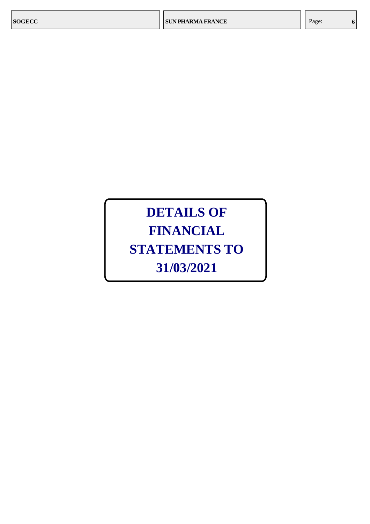### **DETAILS OF FINANCIAL STATEMENTS TO 31/03/2021**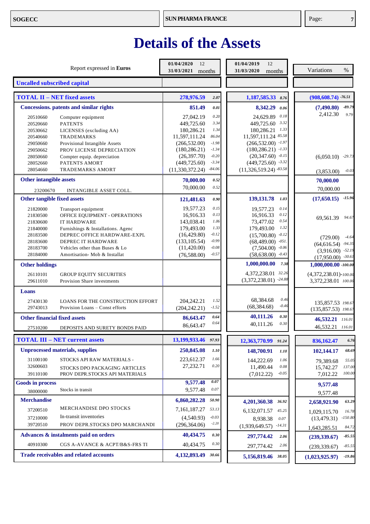### **Details of the Assets**

| Report expressed in Euros                                                        | 01/04/2020<br>12<br>31/03/2021 months    | 01/04/2019<br>12<br>31/03/2020<br>months         | Variations<br>%                             |
|----------------------------------------------------------------------------------|------------------------------------------|--------------------------------------------------|---------------------------------------------|
| <b>Uncalled subscribed capital</b>                                               |                                          |                                                  |                                             |
| <b>TOTAL II - NET fixed assets</b>                                               | 278,976.59<br>2.07                       | 1,187,585.33 8.76                                | $(908, 608.74)$ -76.51                      |
| <b>Concessions.</b> patents and similar rights                                   | 851.49<br>0.01                           | 8,342.29<br>0.06                                 | $-89.79$<br>(7,490.80)                      |
| 20510660<br>Computer equipment                                                   | $0.20\,$<br>27,042.19                    | 0.18<br>24,629.89                                | 2,412.30<br>9.79                            |
| <b>PATENTS</b><br>20520660                                                       | 3.34<br>449,725.60                       | 3.32<br>449,725.60                               |                                             |
| 20530662<br>LICENSES (excluding AA)                                              | 1.34<br>180,286.21                       | 1.33<br>180,286.21                               |                                             |
| TRADEMARKS<br>20540660                                                           | 86.04<br>11,597,111.24                   | 11,597,111.24 85.58                              |                                             |
| Provisional Intangible Assets<br>29050660                                        | $-1.98$<br>(266, 532.00)<br>$-1.34$      | $(266, 532.00)$ $-1.97$<br>$(180, 286.21)$ -1.33 |                                             |
| PROV LICENSE DEPRECIATION<br>29050662<br>28050660<br>Compter equip. depreciation | (180, 286.21)<br>$-0.20$<br>(26,397.70)  | $(20,347.60)$ $-0.15$                            | $-29.73$<br>(6,050.10)                      |
| PATENTS AMORT<br>28052660                                                        | $-3.34$<br>(449, 725.60)                 | $(449,725.60)$ -3.32                             |                                             |
| 28054660<br><b>TRADEMARKS AMORT</b>                                              | $-84.06$<br>(11, 330, 372.24)            | $(11,326,519.24)$ -83.58                         | $-0.03$<br>(3,853.00)                       |
| Other intangible assets                                                          | 70,000.00<br>0.52                        |                                                  | 70,000.00                                   |
| 23200670<br>INTANGIBLE ASSET COLL.                                               | 70,000.00<br>0.52                        |                                                  | 70,000.00                                   |
| Other tangible fixed assets                                                      | 0.90<br>121,481.63                       | 139, 131.78 1.03                                 | $-15.96$<br>(17,650.15)                     |
| 21820000<br>Transport equipment                                                  | 0.15<br>19.577.23                        | 0.14<br>19,577.23                                |                                             |
| OFFICE EQUIPMENT - OPERATIONS<br>21830500                                        | 0.13<br>16,916.33                        | 0.12<br>16,916.33                                | 94.67<br>69.561.39                          |
| <b>IT HARDWARE</b><br>21830600                                                   | 1.06<br>143,038.41                       | 0.54<br>73,477.02                                |                                             |
| Furnishings & Installations. Agenc<br>21840000<br>DEPREC OFFICE HARDWARE-EXPL    | 1.33<br>179,493.00<br>$-0.12$            | 1.32<br>179,493.00                               |                                             |
| 28183500<br><b>DEPREC IT HARDWARE</b><br>28183600                                | (16, 429.80)<br>$-0.99$<br>(133, 105.54) | $(15,700.80)$ -0.12<br>$(68,489.00)$ $-051$ .    | (729.00)<br>$-4.64$                         |
| 28183700<br>Vehicles other than Buses & Lo                                       | $-0.08$<br>(11, 420.00)                  | $(7,504.00)$ $-0.06$                             | $(64, 616.54)$ $-94.35$                     |
| 28184000<br>Amortisation- Mob & Installat                                        | $-0.57$<br>(76,588.00)                   | $(58, 638.00)$ $-0.43$                           | $(3,916.00)$ -52.19<br>$(17,950.00)$ -30.61 |
| <b>Other holdings</b>                                                            |                                          | 1,000,000.00<br>7.38                             | $1,000,000.00$ -100.00                      |
| <b>GROUP EQUITY SECURITIES</b><br>26110101                                       |                                          | 32.26<br>4,372,238.01                            | $(4,372,238.01)$ -100.00                    |
| 29611010<br>Provision Share investments                                          |                                          | $(3,372,238.01)$ -24.88                          | 3,372,238.01 100.00                         |
| Loans                                                                            |                                          |                                                  |                                             |
| <b>LOANS FOR THE CONSTRUCTION EFFORT</b><br>27430130                             | 204.242.21<br>1.52                       | 0.46<br>68,384.68                                | 135,857.53 198.67                           |
| 29743013<br>Provision Loans - Const efforts                                      | $-1.52$<br>(204, 242.21)                 | (68, 384.68)<br>$-0.46$                          | $(135, 857.53)$ 198.67                      |
| <b>Other financial fixed assets</b>                                              | 0.64<br>86,643.47<br>0.64                | 40,111.26<br>0.30                                | 46,532.21 116.01                            |
| 27510200<br>DEPOSITS AND SURETY BONDS PAID                                       | 86,643.47                                | 0.30<br>40,111.26                                | 46,532.21 116.01                            |
| <b>TOTAL III - NET current assets</b>                                            | 13,199,933.46<br>97.93                   | 12,363,770.99 91.24                              | 6.76<br>836,162.47                          |
| <b>Unprocessed materials, supplies</b>                                           | 250,845.08<br>1.10                       | 148,700.91<br>1.10                               | 68.69<br>102,144.17                         |
| 31100100<br>STOCKS API RAW MATERIALS -                                           | 223,612.37<br>1.66                       | 144,222.69<br>1.06                               | 55.05<br>79,389.68                          |
| 32600603<br>STOCKS DPO PACKAGING ARTICLES                                        | 27, 232. 71<br>0.20                      | 11,490.44<br>0.08                                | 137.00<br>15,742.27                         |
| 39110100<br>PROV DEPR.STOCKS API MATERIALS                                       |                                          | $-0.05$<br>(7,012.22)                            | 100.00<br>7,012.22                          |
| <b>Goods in process</b>                                                          | 0.07<br>9,577.48                         |                                                  | 9,577.48                                    |
| Stocks in transit<br>38000000                                                    | 0.07<br>9,577.48                         |                                                  | 9,577.48                                    |
| <b>Merchandise</b>                                                               | 6,860,282.28<br>50.90                    | 4,201,360.38<br>36.92                            | 63.29<br>2,658,921.90                       |
| MERCHANDISE DPO STOCKS<br>37200510                                               | 53.13<br>7,161,187.27                    | 45.25<br>6,132,071.57                            | 16.78<br>1,029,115.70                       |
| In-transit inventories<br>37210000                                               | $-0.03$<br>(4,540.93)                    | 8,938.38<br>0.07                                 | $-150.80$<br>(13, 479.31)                   |
| 39720510<br>PROV DEPR.STOCKS DPO MARCHANDI                                       | $-2.20$<br>(296, 364.06)                 | $-14.31$<br>(1,939,649.57)                       | 84.72<br>1,643,285.51                       |
| Advances & instalments paid on orders                                            | 40,434.75<br>0.30                        | 297,774.42<br>2.06                               | $-85.55$<br>(239, 339.67)                   |
| 40910300<br>CGS A-AVANCE & ACPT/B&S-FRS TI                                       | 0.30<br>40,434.75                        | 2.06<br>297,774.42                               | $-85.55$<br>(239, 339.67)                   |
| <b>Trade receivables and related accounts</b>                                    | 4,132,893.49 30.66                       | 5,156,819.46 38.05                               | $-19.86$<br>(1,023,925.97)                  |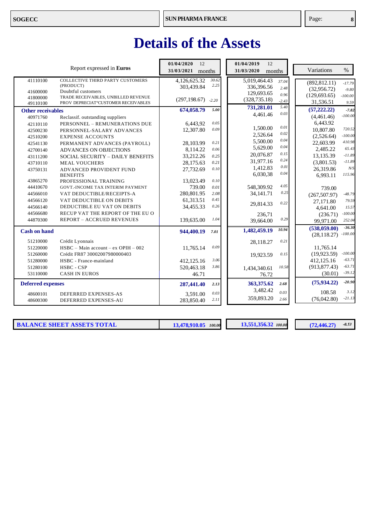### **Details of the Assets**

|                          | Report expressed in Euros                     | 01/04/2020<br>12<br>31/03/2021<br>months |               | 01/04/2019<br>12<br>31/03/2020<br>months |              | Variations<br>$\%$         |
|--------------------------|-----------------------------------------------|------------------------------------------|---------------|------------------------------------------|--------------|----------------------------|
| 41110100                 | COLLECTIVE THIRD PARTY CUSTOMERS<br>(PRODUCT) | 4,126,625.32                             | 30.62<br>2.25 | 5,019,464.43                             | 37.04        | (892, 812.11)<br>$-17.79$  |
| 41600000                 | Doubtful customers                            | 303,439.84                               |               | 336,396.56                               | 2.48         | (32,956.72)<br>$-9.80$     |
| 41800000                 | TRADE RECEIVABLES, UNBILLED REVENUE           |                                          |               | 129,693.65                               | 0.96         | (129, 693.65)<br>$-100.00$ |
| 49110100                 | PROV DEPRECIAT°CUSTOMER RECEIVABLES           | (297, 198.67)                            | $-2.20$       | (328, 735.18)                            | $-2.43$      | 31,536.51<br>9.59          |
| <b>Other receivables</b> |                                               | 674,058.79                               | 5.00          | 731,281.01                               | 5.40<br>0.03 | (57, 222, 22)<br>$-7.82$   |
| 40971760                 | Reclassif. outstanding suppliers              |                                          |               | 4,461.46                                 |              | $-100.00$<br>(4,461.46)    |
| 42110110                 | PERSONNEL - REMUNERATIONS DUE                 | 6,443,92                                 | 0.05          |                                          |              | 6,443.92                   |
| 42500230                 | PERSONNEL-SALARY ADVANCES                     | 12,307.80                                | 0.09          | 1,500.00                                 | 0.01<br>0.02 | 720.52<br>10,807.80        |
| 42510200                 | <b>EXPENSE ACCOUNTS</b>                       |                                          |               | 2,526.64                                 |              | $-100.00$<br>(2,526.64)    |
| 42541130                 | PERMANENT ADVANCES (PAYROLL)                  | 28,103.99                                | 0.21          | 5,500.00                                 | $0.04\,$     | 410.98<br>22,603.99        |
| 42700140                 | ADVANCES ON OBJECTIONS                        | 8,114.22                                 | 0.06          | 5,629.00                                 | 0.04         | 65.43<br>2,485.22          |
| 43111200                 | SOCIAL SECURITY - DAILY BENEFITS              | 33,212.26                                | 0.25          | 20.076.87                                | 0.15         | $-11.89$<br>13,135.39      |
| 43710110                 | <b>MEAL VOUCHERS</b>                          | 28,175.63                                | 0.21          | 31,977.16                                | 0.24         | $-11.89$<br>(3,801.53)     |
| 43750131                 | ADVANCED PROVIDENT FUND                       | 27,732.69                                | $0.10\,$      | 1,412.83                                 | 0.01         | N/S<br>26,319.86           |
|                          | <b>BENEFITS</b>                               |                                          |               | 6,030,38                                 | 0.04         | 115.96<br>6,993.11         |
| 43865270                 | PROFESSIONAL TRAINING                         | 13,023.49                                | 0.10          |                                          |              |                            |
| 44410670                 | GOVT.-INCOME TAX INTERIM PAYMENT              | 739.00                                   | 0.01          | 548,309.92                               | 4.05         | 739.00                     |
| 44566010                 | VAT DEDUCTIBLE/RECEIPTS-A                     | 280,801.95                               | 2.08          | 34.141.71                                | 0.25         | $-48.79$<br>(267, 507.97)  |
| 44566120                 | VAT DEDUCTIBLE ON DEBITS                      | 61,313.51                                | 0.45          |                                          | 0.22         | 79.59<br>27,171.80         |
| 44566140                 | DEDUCTIBLE EU VAT ON DEBITS                   | 34,455.33                                | 0.26          | 29,814.33                                |              | 15.57<br>4,641.00          |
| 44566680                 | RECUP VAT THE REPORT OF THE EU O              |                                          |               | 236,71                                   |              | $-100.00$<br>(236.71)      |
| 44870300                 | <b>REPORT - ACCRUED REVENUES</b>              | 139,635.00                               | 1.04          | 39,664.00                                | 0.29         | 252.04<br>99,971.00        |
| <b>Cash on hand</b>      |                                               | 944,400.19                               | 7.01          | 1,482,459.19                             | 10.94        | $-36.30$<br>(538,059.00)   |
|                          |                                               |                                          |               |                                          |              | $-100.00$<br>(28, 118.27)  |
| 51210000                 | Crédit Lyonnais                               |                                          |               | 28,118.27                                | 0.21         |                            |
| 51220000                 | $HSBC - Main account - ex OPIH - 002$         | 11,765.14                                | 0.09          |                                          |              | 11,765.14                  |
| 51260000                 | Crédit FR87 30002007980000403                 |                                          |               | 19.923.59                                | 0.15         | $-100.00$<br>(19, 923.59)  |
| 51280000                 | HSBC - France-mainland                        | 412,125.16                               | 3.06          |                                          |              | $-63.71$<br>412,125.16     |
| 51280100                 | HSBC - CSP                                    | 520,463.18                               | 3.86          | 1,434,340.61                             | 10.58        | $-63.71$<br>(913, 877.43)  |
| 53110000                 | <b>CASH IN EUROS</b>                          | 46.71                                    |               | 76.72                                    |              | $-39.12$<br>(30.01)        |
| <b>Deferred expenses</b> |                                               | 287,441.40                               | 2.13          | 363,375.62                               | 2.68         | $-20.90$<br>(75, 934, 22)  |
| 48600101                 | DEFERRED EXPENSES-AS                          | 3.591.00                                 | 0.03          | 3,482.42                                 | 0.03         | 3.12<br>108.58             |
| 48600300                 | DEFERRED EXPENSES-AU                          | 283,850.40                               | 2.11          | 359,893.20                               | 2.66         | $-21.13$<br>(76,042.80)    |

**BALANCE SHEET ASSETS TOTAL 13,478,910.05** *100.00* **13,551,356.32** *100.00* **(72,446.27)** 

 $-0.53$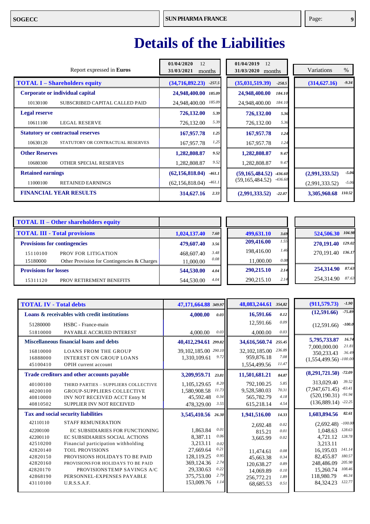### **Details of the Liabilities**

| Report expressed in <b>Euros</b>         | 01/04/2020<br>12<br>31/03/2021<br>months | 01/04/2019<br>12<br>31/03/2020<br>months | Variations<br>$\%$ |
|------------------------------------------|------------------------------------------|------------------------------------------|--------------------|
| <b>TOTAL I – Shareholders equity</b>     | (34,716,892.23)                          | (35,031,519.39)                          | $-9.34$            |
|                                          | $-257.5$                                 | $-258.5$                                 | (314, 627.16)      |
| Corporate or individual capital          | 24,948,400.00<br>185.09                  | 24,948,400.00<br>184.10                  |                    |
| SUBSCRIBED CAPITAL CALLED PAID           | 185.09                                   | 184.10                                   |                    |
| 10130100                                 | 24,948,400.00                            | 24,948,400.00                            |                    |
| <b>Legal reserve</b>                     | 726,132.00<br>5.39                       | 726,132.00<br>5.36                       |                    |
| 10611100                                 | 5.39                                     | 5.36                                     |                    |
| <b>LEGAL RESERVE</b>                     | 726,132.00                               | 726,132.00                               |                    |
| <b>Statutory or contractual reserves</b> | 167,957.78<br>1.25                       | 167,957.78<br>1.24                       |                    |
| STATUTORY OR CONTRACTUAL RESERVES        | 1,25                                     | 1.24                                     |                    |
| 10630120                                 | 167,957.78                               | 167,957.78                               |                    |
| <b>Other Reserves</b>                    | 1,282,808.87<br>9.52                     | 1,282,808.87<br>9.47                     |                    |
| 10680300                                 | 9.52                                     | 9.47                                     |                    |
| OTHER SPECIAL RESERVES                   | 1,282,808.87                             | 1,282,808.87                             |                    |
| <b>Retained earnings</b>                 | (62, 156, 818.04)                        | (59, 165, 484.52)                        | $-5.06$            |
|                                          | $-461.1$                                 | -436.60                                  | (2,991,333.52)     |
| 11000100                                 | $-461.1$                                 | $-436.60$                                | $-5.06$            |
| <b>RETAINED EARNINGS</b>                 | (62, 156, 818.04)                        | (59, 165, 484.52)                        | (2,991,333.52)     |
| <b>FINANCIAL YEAR RESULTS</b>            | 314,627.16                               | (2,991,333.52)                           | 110.52             |
|                                          | 2.33                                     | $-22.07$                                 | 3,305,960.68       |

|                              | <b>TOTAL II - Other shareholders equity</b> |              |      |            |      |                      |
|------------------------------|---------------------------------------------|--------------|------|------------|------|----------------------|
|                              | <b>TOTAL III - Total provisions</b>         | 1,024,137.40 | 7.60 | 499,631.10 | 3.69 | 104.98<br>524,506.30 |
|                              | <b>Provisions for contingencies</b>         | 479,607.40   | 3.56 | 209,416.00 | 1.55 | 129.02<br>270,191.40 |
| 15110100                     | PROV FOR LITIGATION                         | 468,607.40   | 3.48 | 198,416.00 | 1.46 | 136.17<br>270.191.40 |
| 15180000                     | Other Provision for Contingencies & Charges | 11,000.00    | 0.08 | 11,000.00  | 0.08 |                      |
| <b>Provisions for losses</b> |                                             | 544,530.00   | 4.04 | 290,215.10 | 2.14 | 87.63<br>254,314.90  |
| 15311120                     | PROV RETIREMENT BENEFITS                    | 544,530.00   | 4.04 | 290,215.10 | 2.14 | 87.63<br>254,314.90  |

|                                                                                                                                                                                                                                                                                                                              |                                                                      |                                                                                                                |                                                                      | $-1.90$<br>(911, 579.73)                                                                                                                                                                                                   |
|------------------------------------------------------------------------------------------------------------------------------------------------------------------------------------------------------------------------------------------------------------------------------------------------------------------------------|----------------------------------------------------------------------|----------------------------------------------------------------------------------------------------------------|----------------------------------------------------------------------|----------------------------------------------------------------------------------------------------------------------------------------------------------------------------------------------------------------------------|
| 4,000.00                                                                                                                                                                                                                                                                                                                     | 0.03                                                                 | 16,591.66                                                                                                      | 0.12                                                                 | $-75.89$<br>(12,591.66)                                                                                                                                                                                                    |
|                                                                                                                                                                                                                                                                                                                              |                                                                      | 12,591.66                                                                                                      | 0.09                                                                 | $-100.0$<br>(12,591.66)                                                                                                                                                                                                    |
| 4,000.00                                                                                                                                                                                                                                                                                                                     | 0.03                                                                 | 4,000.00                                                                                                       | 0.03                                                                 |                                                                                                                                                                                                                            |
|                                                                                                                                                                                                                                                                                                                              |                                                                      |                                                                                                                | 255.45                                                               | 16.74<br>5,795,733.87                                                                                                                                                                                                      |
| 1.310.109.61                                                                                                                                                                                                                                                                                                                 | 9.72                                                                 | 32, 102, 185.00<br>959,876.18                                                                                  | 236.89<br>7.08                                                       | 21.81<br>7,000,000.00<br>36.49<br>350,233.43<br>$(1,554,499.56)$ -100.00                                                                                                                                                   |
|                                                                                                                                                                                                                                                                                                                              |                                                                      |                                                                                                                |                                                                      |                                                                                                                                                                                                                            |
| 3,209,959.71                                                                                                                                                                                                                                                                                                                 | 23.81                                                                | 11,501,681.21                                                                                                  | 84.87                                                                | $(8,291,721.50)$ -72.09                                                                                                                                                                                                    |
| 1,105,129.65<br>THIRD PARTIES - SUPPLIERS COLLECTIVE<br>1,580,908.58<br>45,592.48<br>INV NOT RECEIVED ACCT Entry M<br>478,329.00                                                                                                                                                                                             | 8.20<br>11.73<br>0.34<br>3.55                                        | 792,100.25<br>9,528,580.03<br>565,782.79<br>615,218.14                                                         | 5.85<br>70.31<br>4.18<br>4.54                                        | 39.52<br>313,029.40<br>$-83.41$<br>(7,947,671.45)<br>$-91.94$<br>(520, 190.31)<br>$-22.25$<br>(136,889.14)                                                                                                                 |
|                                                                                                                                                                                                                                                                                                                              |                                                                      | 1,941,516.00                                                                                                   | 14.33                                                                | 82.61<br>1,603,894.56                                                                                                                                                                                                      |
| 1.863.84<br>EC SUBSIDIARIES FOR FUNCTIONING<br>8.387.11<br>EC SUBSIDIARIES SOCIAL ACTIONS<br>3,213.11<br>27,669.64<br>128,119.25<br>PROVISIONS HOLIDAYS TO BE PAID<br>369,124.36<br>PROVISIONS FOR HOLIDAYS TO BE PAID<br>29,330.63<br>PROVISIONS TEMP SAVINGS A/C<br>375,753.00<br>PERSONNEL-EXPENSES PAYABLE<br>153,009.76 | 0.01<br>0.06<br>0.02<br>0.21<br>0.95<br>2.74<br>0.22<br>2.79<br>1.14 | 2,692.48<br>815.21<br>3,665.99<br>11,474.61<br>45.663.38<br>120,638.27<br>14,069.89<br>256,772.21<br>68,685.53 | 0.02<br>0.01<br>0.02<br>0.08<br>0.34<br>0.89<br>0.10<br>1.89<br>0.51 | $-100.00$<br>(2,692.48)<br>128.63<br>1,048.63<br>128.78<br>4,721.12<br>3,213.11<br>141.14<br>16,195.03<br>180.57<br>82,455.87<br>205.98<br>248,486.09<br>108.46<br>15,260.74<br>46.34<br>118,980.79<br>122.77<br>84.324.23 |
|                                                                                                                                                                                                                                                                                                                              |                                                                      | 47,171,664.88 349.97<br>40,412,294.61 299.82<br>39,102,185.00 290.10                                           | 1,554,499.56<br>3,545,410.56 26.30                                   | 48,083,244.61 354,82<br>34,616,560.74<br>11.47                                                                                                                                                                             |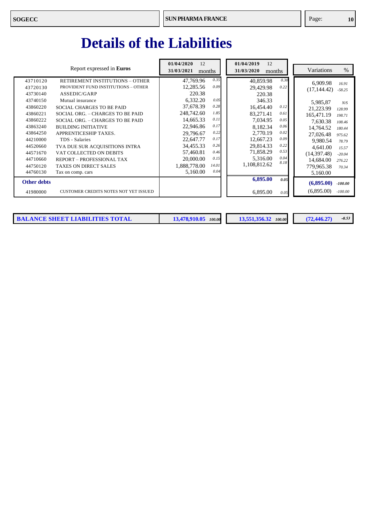### **Details of the Liabilities**

|                                                                                                                                                                                  | Report expressed in Euros                                                                                                                                                                                                                                                                                                                                                                                                                      | 01/04/2020<br>12<br>31/03/2021<br>months                                                                                                                                                                                                                                                                        | 01/04/2019<br>12<br>31/03/2020<br>months                                                                                                                                                                                                                                    | Variations<br>$\%$                                                                                                                                                                                                                                                                                                 |
|----------------------------------------------------------------------------------------------------------------------------------------------------------------------------------|------------------------------------------------------------------------------------------------------------------------------------------------------------------------------------------------------------------------------------------------------------------------------------------------------------------------------------------------------------------------------------------------------------------------------------------------|-----------------------------------------------------------------------------------------------------------------------------------------------------------------------------------------------------------------------------------------------------------------------------------------------------------------|-----------------------------------------------------------------------------------------------------------------------------------------------------------------------------------------------------------------------------------------------------------------------------|--------------------------------------------------------------------------------------------------------------------------------------------------------------------------------------------------------------------------------------------------------------------------------------------------------------------|
| 43710120<br>43720130<br>43730140<br>43740150<br>43860220<br>43860221<br>43860222<br>43863240<br>43864250<br>44210000<br>44520660<br>44571670<br>44710660<br>44750120<br>44760130 | RETIREMENT INSTITUTIONS - OTHER<br>PROVIDENT FUND INSTITUTIONS - OTHER<br>ASSEDIC/GARP<br>Mutual insurance<br>SOCIAL CHARGES TO BE PAID<br>SOCIAL ORG. - CHARGES TO BE PAID<br>SOCIAL ORG. - CHARGES TO BE PAID<br><b>BUILDING INITIATIVE</b><br>APPRENTICESHIP TAXES.<br>TDS - Salaries<br>TVA DUE SUR ACQUISITIONS INTRA<br>VAT COLLECTED ON DEBITS<br><b>REPORT - PROFESSIONAL TAX</b><br><b>TAXES ON DIRECT SALES</b><br>Tax on comp. cars | 0.35<br>47,769.96<br>0.09<br>12,285.56<br>220.38<br>6,332.20<br>0.05<br>0.28<br>37,678.39<br>248,742.60<br>1.85<br>0.11<br>14.665.33<br>22,946.86<br>0.17<br>0.22<br>29,796.67<br>22,647.77<br>0.17<br>34,455.33<br>0.26<br>0.46<br>57,460.81<br>20,000.00<br>0.15<br>1.888.778.00<br>14.01<br>0.04<br>5,160.00 | 0.30<br>40,859.98<br>0.22<br>29,429.98<br>220.38<br>346.33<br>0.12<br>16,454.40<br>83.271.41<br>0.61<br>7.034.95<br>0.05<br>0.06<br>8,182.34<br>0.02<br>2,770.19<br>0.09<br>12,667.23<br>0.22<br>29,814.33<br>0.53<br>71,858.29<br>0.04<br>5,316.00<br>8.18<br>1,108,812.62 | 6,909.98<br>16.91<br>(17, 144.42)<br>$-58.25$<br>5,985,87<br>N/S<br>21.223.99<br>128.99<br>165,471.19<br>198.71<br>7,630.38<br>108.46<br>14,764.52<br>180.44<br>27,026.48<br>975.62<br>9,980.54<br>78.79<br>4,641.00<br>15.57<br>(14,397.48)<br>$-20.04$<br>14,684.00<br>276.22<br>779,965.38<br>70.34<br>5.160.00 |
| <b>Other debts</b>                                                                                                                                                               |                                                                                                                                                                                                                                                                                                                                                                                                                                                |                                                                                                                                                                                                                                                                                                                 | 6,895.00<br>0.05                                                                                                                                                                                                                                                            | (6,895.00)<br>$-100.00$                                                                                                                                                                                                                                                                                            |
| 41980000                                                                                                                                                                         | <b>CUSTOMER CREDITS NOTES NOT YET ISSUED</b>                                                                                                                                                                                                                                                                                                                                                                                                   |                                                                                                                                                                                                                                                                                                                 | 6,895.00<br>0.05                                                                                                                                                                                                                                                            | (6.895.00)<br>$-100.00$                                                                                                                                                                                                                                                                                            |

**BALANCE SHEET LIABILITIES TOTAL 13,478,910.05** *100.00* **13,551,356.32** *100.00* **(72,446.27)** 

 $-0.53$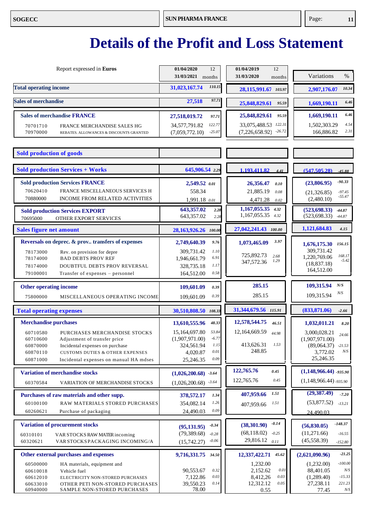| Report expressed in Euros                                                                                                              | 01/04/2020<br>12<br>31/03/2021<br>months          | 01/04/2019<br>12<br>31/03/2020<br>months       | $\%$<br>Variations                                   |
|----------------------------------------------------------------------------------------------------------------------------------------|---------------------------------------------------|------------------------------------------------|------------------------------------------------------|
| <b>Total operating income</b>                                                                                                          | 110.15<br>31,023,167.74                           | 28,115,991.67 103.97                           | 10.34<br>2,907,176.07                                |
| <b>Sales of merchandise</b>                                                                                                            | 97.71<br>27,518                                   | 25,848,829.61<br>95.59                         | 6.46<br>1,669,190.11                                 |
| <b>Sales of merchandise FRANCE</b><br>70701710<br>FRANCE MERCHANDISE SALES HG                                                          | 27,518,019.72<br>97.71<br>122.77<br>34,577,791.82 | 25,848,829.61<br>95.59<br>33,075,488.53 122.31 | 6.46<br>1,669,190.11<br>4.54<br>1,502,303.29         |
| 70970000<br>REBATES. ALLOWANCES & DISCOUNTS GRANTED                                                                                    | $-25.07$<br>(7,059,772.10)                        | $-26.72$<br>(7,226,658.92)                     | 2.31<br>166,886.82                                   |
| <b>Sold production of goods</b>                                                                                                        |                                                   |                                                |                                                      |
| <b>Sold production Services + Works</b>                                                                                                | 645,906.54 2.29                                   | 1.193.411.82<br>4.41                           | (547, 505, 28)<br>$-45.88$                           |
| <b>Sold production Services FRANCE</b>                                                                                                 | 2,549.52 0.01                                     | 26,356.47<br>0.10                              | $-90.33$<br>(23,806.95)                              |
| 70620410<br>FRANCE MISCELLANEOUS SERVICES H<br>70880000<br><b>INCOME FROM RELATED ACTIVITIES</b>                                       | 558.34<br>1,991.18 0.01                           | 21,885.19<br>0.08<br>4,471.28<br>0.02          | $-97.45$<br>(21, 326.85)<br>$-55.47$<br>(2,480.10)   |
| <b>Sold production Services EXPORT</b><br>70695000<br>OTHER EXPORT SERVICES                                                            | 643,357.02<br>2.28<br>643,357.02<br>2.28          | $1,167,055.35$ $4.32$<br>1,167,055.35 4.32     | (523, 698.33)<br>-44.87<br>(523, 698.33)<br>$-44.87$ |
| <b>Sales figure net amount</b>                                                                                                         | 28,163,926.26 100.00                              | 27,042,241.43 100.00                           | 1,121,684.83<br>4.15                                 |
| Reversals on deprec. & prov transfers of expenses                                                                                      | 2,749,640.39<br>9.76                              | 3.97<br>1,073,465.09                           | 156.15<br>1,676,175.30                               |
| 78173000<br>Rev. on provision for depre<br>78174000<br><b>BAD DEBTS PROV REF</b>                                                       | 1.10<br>309,731.42<br>6.91<br>1,946,661.79        | 725,892.73<br>2.68                             | 309,731.42<br>168.17<br>1,220,769.06                 |
| DOUBTFUL DEBTS PROV REVERSAL<br>78174000                                                                                               | 1.17<br>328,735.18                                | 1.29<br>347,572.36                             | $-5.42$<br>(18, 837.18)                              |
| 79100001<br>Transfer of expenses - personnel                                                                                           | 0.58<br>164,512.00                                |                                                | 164,512.00                                           |
|                                                                                                                                        |                                                   |                                                |                                                      |
| <b>Other operating income</b>                                                                                                          | 109,601.09<br>0.39                                | 285.15                                         | N/S<br>109,315.94                                    |
| 75800000<br>MISCELLANEOUS OPERATING INCOME                                                                                             | 0.39<br>109,601.09                                | 285.15                                         | $N\!/\!S$<br>109,315.94                              |
| <b>Total operating expenses</b>                                                                                                        | 30,510,808.50 108.33                              | 31,344,679.56 115.91                           | (833, 871.06)<br>$-2.66$                             |
| <b>Merchandise purchases</b>                                                                                                           | 48.33<br>13,610,555.96                            | 12,578,544.75<br>46.51                         | 1,032,011.21<br>8.20                                 |
| 60710580<br>PURCHASES MERCHANDISE STOCKS                                                                                               | 15,164,697.80<br>53.84                            | 12,164,669.59<br>44.98                         | 3,000,028.21<br>24.66                                |
| 60710600<br>Adjustment of transfer price                                                                                               | (1,907,971.00)<br>$-6.77$<br>1.15                 | 413,626.31<br>1.53                             | (1,907,971.00)                                       |
| 60870000<br>Incidental expenses on purchase<br>60870110<br><b>CUSTOMS DUTIES &amp; OTHER EXPENSES</b>                                  | 324,561.94<br>$0.01\,$<br>4,020.87                | 248.85                                         | $(89,064.37)$ -21.53<br>N/S<br>3,772.02              |
| 60871000<br>Incidental expenses on manual HA mdses                                                                                     | 0.09<br>25,246.35                                 |                                                | 25,246.35                                            |
| <b>Variation of merchandise stocks</b>                                                                                                 | $(1,026,200.68)$ 3.64                             | 122,765.76<br>0.45                             | $(1,148,966.44)$ -935.90                             |
| 60370584<br>VARIATION OF MERCHANDISE STOCKS                                                                                            | $(1,026,200.68)$ -3.64                            | 122,765.76<br>0.45                             | $(1,148,966.44)$ -935.90                             |
| Purchases of raw materials and other supp.                                                                                             | 378,572.17<br>1.34                                | 407,959.66<br>1.51                             | (29, 387.49)<br>$-7.20$                              |
| <b>RAW MATERIALS STORED PURCHASES</b><br>60100100                                                                                      | 1.26<br>354,082.14                                | 1.51<br>407,959.66                             | (53,877.52)<br>$-13.21$                              |
| 60260621<br>Purchase of packaging                                                                                                      | 0.09<br>24,490.03                                 |                                                | 24.490.03                                            |
| <b>Variation of procurement stocks</b>                                                                                                 | $-0.34$<br>(95, 131.95)                           | $-0.14$<br>(38, 301.90)                        | $-148.37$<br>(56,830.05)                             |
| 60310101<br>VAR STOCKS RAW MATER incoming                                                                                              | (79, 389.68)<br>$-0.28$                           | (68, 118.02)<br>$-0.25$                        | (11,271.66)<br>$-16.55$                              |
| 60320621<br>VAR STOCKS PACKAGING INCOMING/A                                                                                            | $-0.06$<br>(15,742.27)                            | 29,816.12<br>0.11                              | (45, 558.39)<br>$-152.80$                            |
| Other external purchases and expenses                                                                                                  | 9,716,331.75<br>34.50                             | 45.62<br>12,337,422.71                         | $-21.25$<br>(2,621,090.96)                           |
| 60500000<br>HA materials, equipment and                                                                                                |                                                   | 1,232.00                                       | $-100.00$<br>(1,232.00)                              |
| 60610018<br>Vehicle fuel                                                                                                               | 0.32<br>90,553.67<br>0.03                         | 2,152.62<br>0.01<br>0.03                       | 88,401.05<br>$N\!/\!S$<br>$-15.33$                   |
| 60612010<br>ELECTRICITY NON-STORED PURCHASES<br>60633010<br>OTHER PETI NON-STORED PURCHASES<br>60940000<br>SAMPLE NON-STORED PURCHASES | 7,122.86<br>39,550.23<br>0.14<br>78.00            | 8,412,26<br>12,312.12<br>$0.05\,$              | (1,289.40)<br>27,238.11<br>221.23                    |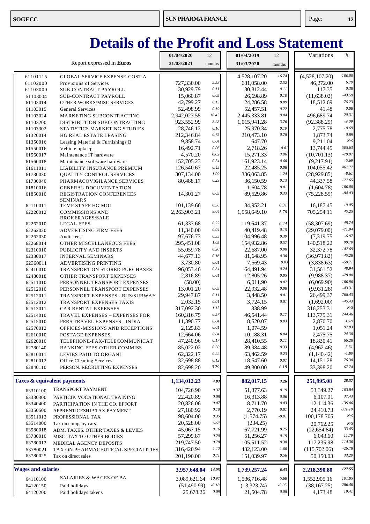|                           |                                                  | 01/04/2020   | 12       | 01/04/2019   | 12       | Variations     | $\%$      |
|---------------------------|--------------------------------------------------|--------------|----------|--------------|----------|----------------|-----------|
|                           | Report expressed in Euros                        | 31/03/2021   | months   | 31/03/2020   | months   |                |           |
| 61101115                  | <b>GLOBAL SERVICE EXPENSE-COST A</b>             |              |          | 4,528,107.20 | 16.74    | (4,528,107.20) | $-100.00$ |
| 61102000                  | Provisions of Services                           | 727,330.00   | 2.58     | 681,058.00   | 2.52     | 46,272.00      | 6.79      |
| 61103000                  | SUB-CONTRACT PAYROLL                             | 30,929.79    | 0.11     | 30,812.44    | 0.11     | 117.35         | 0.38      |
| 61103004                  | SUB-CONTRACT PAYROLL                             | 15,060.87    | 0.05     | 26,698.89    | 0.10     | (11, 638.02)   | $-43.59$  |
| 61103014                  | OTHER WORKS/MISC SERVICES                        | 42,799.27    | 0.15     | 24,286.58    | 0.09     | 18,512.69      | 76.23     |
| 61103015                  | <b>General Services</b>                          | 52,498.99    | 0.19     | 52,457.51    | 0.22     | 41.48          | 0.08      |
| 61103024                  | MARKETING SUBCONTRACTING                         | 2,942,023.55 | 10.45    | 2,445,333.81 | 9.04     | 496.689.74     | 20.31     |
| 61103200                  | DISTRIBUTION SUBCONTRACTING                      | 923,552.99   | 3.28     | 1,015,941.28 | 3.76     | (92, 388.29)   | $-9.09$   |
| 61103302                  | STATISTICS MARKETING STUDIES                     | 28,746.12    | 0.10     | 25,970.34    | 0.10     | 2,775.78       | 10.69     |
| 61320014                  | HG REAL ESTATE LEASING                           | 212,346.84   | 0.75     | 210,473.10   | 0.78     | 1,873.74       | 0.89      |
| 61350016                  | Leasing Material & Furnishings B                 | 9,858.74     | 0.04     | 647.70       |          | 9,211.04       | N/S       |
| 61550016                  | Vehicle upkeep                                   | 16,492.71    | 0.06     | 2,718.26     | 0.01     | 13,744.45      | 505.63    |
| 61560017                  | Maintenance IT hardware                          | 4,570.20     | 0.02     | 15,271.33    | 0.06     | (10,701.13)    | $-70.07$  |
| 61560018                  | Maintenance software hardware                    | 152,705.23   | 0.54     | 161,923.14   | 0.60     | (9,217.91)     | $-5.69$   |
| 61611011                  | LIABILITY INSURANCE PREMIUM                      | 126,540.67   | 0.45     | 22,485.25    | 0.08     | 104,055.42     | 462.77    |
| 61730030                  | <b>QUALITY CONTROL SERVICES</b>                  | 307,134.00   | 1.09     | 336,063.85   | 1.24     | (28,929.85)    | $-8.61$   |
| 61730040                  | PHARMACOVIGILANCE SERVICES                       | 80,488.17    | 0.29     | 36,150.59    | 0.13     | 44,337.58      | 122.65    |
| 61810016                  | <b>GENERAL DOCUMENTATION</b>                     |              |          | 1,604.78     | 0.01     | (1,604.78)     | $-100.00$ |
| 61850010                  | REGISTRATION CONFERENCES                         | 14,301.27    | 0.05     | 89,529.86    | 0.33     | (75, 228.59)   | $-84.03$  |
|                           | <b>SEMINARS</b>                                  |              | 0.36     |              |          |                | 19.05     |
| 62110011                  | TEMP STAFF HG MOI                                | 101,139.66   | 8.04     | 84,952.21    | 0.31     | 16, 187, 45    | 45.25     |
| 62220012                  | <b>COMMISSIONS AND</b><br><b>BROKERAGES/SALE</b> | 2,263,903.21 |          | 1,558,649.10 | 5.76     | 705,254.11     |           |
| 62262010                  | <b>LEGAL FEES</b>                                | 61,333.68    | 0.22     | 119,641.37   | 0.44     | (58, 307.69)   | $-48.74$  |
| 62262020                  | <b>ADVERTISING FIRM FEES</b>                     | 11,340.00    | 0.04     | 40,419.48    | 0.15     | (29,079.00)    | $-71.94$  |
| 62262030                  | Audit fees                                       | 97,676.73    | 0.35     | 104,996.48   | 0.39     | (7,319.75)     | $-6.97$   |
| 62268014                  | OTHER MISCELLANEOUS FEES                         | 295,451.08   | 1.05     | 154,932.86   | 0.57     | 140,518.22     | 90.70     |
| 62310010                  | PUBLICITY AND INSERTS                            | 55,059.78    | 0.20     | 22,687.00    | $0.08\,$ | 32,372.78      | 142.69    |
| 62330017                  | <b>INTERNAL SEMINARS</b>                         | 44,677.13    | 0.16     | 81,648.95    | 0.30     | (36,971.82)    | $-45.28$  |
| 62360011                  | ADVERTISING PRINTING                             | 3,730.80     | $0.01\,$ | 7,569.43     | 0.03     | (3,838.63)     | $-50.71$  |
| 62410010                  | TRANSPORT ON STORED PURCHASES                    | 96,053.46    | 0.34     | 64,491.94    | 0.24     | 31,561.52      | 48,94     |
| 62480018                  | OTHER TRANSPORT EXPENSES                         | 2,816.89     | $0.01\,$ | 12,805.26    | 0.05     | (9,988.37)     | $-78.00$  |
| 62511010                  | PERSONNEL TRANSPORT EXPENSES                     | (58.00)      |          | 6,011.90     | 0.02     | (6,069.90)     | $-100.96$ |
| 62512010                  | PERSONNEL TRANSPORT EXPENSES                     | 13,001.20    | 0.05     | 22,932.48    | $0.08\,$ | (9,931.28)     | $-43.31$  |
| 62512011                  | TRANSPORT EXPENSES - BUS/SUBWAY                  | 29,947.87    | 0.11     | 3,448.50     | 0.01     | 26,499.37      | 768.43    |
| 62512012                  | <b>TRANSPORT EXPENSES TAXIS</b>                  | 2,032.15     | $0.01\,$ | 3,724.15     | 0.01     | (1,692.00)     | $-45.43$  |
| 62513011                  | CAR RENTAL EXPENSES                              | 317,092.30   | 1.13     | 838.99       |          | 316,253.31     | $N\!/\!S$ |
| 62514010                  | TRAVEL EXPENSES - EXPENSES FOR                   | 160,316.75   | 0.57     | 46,541.44    | 0.17     | 113,775.31     | 244.46    |
| 62515010                  | PERS TRAVEL EXPENSES - INDIA                     | 11,390.77    | 0.04     | 8,520.07     | 0.03     | 2,870.70       | 33.69     |
| 62570012                  | OFFICES-MISSIONS AND RECEPTIONS                  | 2,125.83     | $0.01\,$ | 1,074.59     |          | 1,051.24       | 97.83     |
| 62610010                  | POSTAGE EXPENSES                                 | 12,664.06    | $0.04\,$ | 10,188.31    | 0.04     | 2,475.75       | 24.30     |
| 62620010                  | TELEPHONE-FAX-TELECOMMUNICAT                     | 47,240.96    | 0.17     | 28,410.55    | 0.11     | 18,830.41      | 66.28     |
| 62780140                  | <b>BANKING FEES-OTHER COMMISS</b>                | 85,022.02    | 0.30     | 89,984.48    | 0.33     | (4,962.46)     | $-5.51$   |
| 62810011                  | LEVIES PAID TO ORGANI                            | 62,322.17    | $0.22\,$ | 63,462.59    | 0.23     | (1,140.42)     | $-1.80$   |
| 62810012                  | <b>Office Cleaning Services</b>                  | 32,698.88    | 0.12     | 18,547.60    | 0.07     | 14, 151.28     | 76.30     |
| 62840110                  | PERSON. RECRUITING EXPENSES                      | 82,698.20    | $0.29\,$ | 49,300.00    | 0.18     | 33,398.20      | 67.74     |
|                           |                                                  |              |          |              |          |                |           |
|                           | Taxes & equivalent payments                      | 1,134,012.23 | 4.03     | 882,017.15   | 3.26     | 251,995.08     | 28,57     |
| 63310100                  | TRANSPORT PAYMENT                                | 104,726.90   | 0.37     | 51,377.63    | 0.19     | 53,349.27      | 103.84    |
| 63330300                  | PARTICIP. VOCATIONAL TRAINING                    | 22,420.89    | $0.08\,$ | 16,313.88    | 0.06     | 6,107.01       | 37.43     |
| 63340400                  | PARTICIPATION IN THE CO. EFFORT                  | 20,826.06    | 0.07     | 8,711.70     | 0.03     | 12,114.36      | 139.06    |
| 63350500                  | APPRENTICESHIP TAX PAYMENT                       | 27,180.92    | 0.10     | 2,770.19     | 0.01     | 24,410.73      | 881.19    |
| 63511012                  | PROFESSIONAL TAX                                 | 98,604.00    | 0.35     | (1,574.75)   | $-0.01$  | 100,178.705    | N/S       |
| 63514000                  | Tax on company cars                              | 20,528.00    | 0.07     | (234.25)     |          | 20,762.25      | N/S       |
| 63580018                  | ADM. TAXES. OTHER TAXES & LEVIES                 | 45,067.15    | 0.16     | 67,721.99    | 0.25     | (22, 654.84)   | $-33.45$  |
| 63780010                  | MISC. TAX TO OTHER BODIES                        | 57,299.87    | $0.20\,$ | 51,256.27    | 0.19     | 6,043.60       | 11.79     |
| 63780012                  | MEDICAL AGENCY DEPOSITS                          | 219,747.50   | 0.78     | 105,511.52   | 0.38     | 117,235.98     | 114.36    |
| 63780021                  | TAX ON PHARMACEUTICAL SPECIALITIES               | 316,420.94   | 1.12     | 432,123.00   | 1.60     | (115,702.06)   | $-26.78$  |
| 63780025                  | Tax on direct sales                              | 201,190.00   | 0.71     | 151,039.97   | 0.56     | 50,150.03      | 33.20     |
| <b>Wages and salaries</b> |                                                  |              | 14.05    |              | 6.43     |                | 127.55    |
|                           |                                                  | 3,957,648.04 |          | 1,739,257.24 |          | 2,218,390.80   |           |
| 64110100                  | <b>SALARIES &amp; WAGES OF BA</b>                | 3,089,621.64 | 10.97    | 1,536,716.48 | 5.68     | 1,552,905.16   | 101.05    |
| 64120150                  | Paid holidays                                    | (51, 490.99) | $-0.18$  | (13,323.74)  | $-0.05$  | (38, 167.25)   | $-286.46$ |
| 64120200                  | Paid holidays takens                             | 25,678.26    | 0.09     | 21,504.78    | 0.08     | 4,173.48       | 19.41     |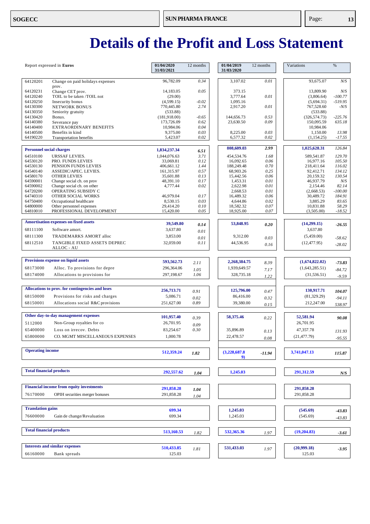|                                 | Report expressed in Euros                               |                         | 12 months    | 01/04/2019<br>31/03/2020 | 12 months    | Variations              | %                |
|---------------------------------|---------------------------------------------------------|-------------------------|--------------|--------------------------|--------------|-------------------------|------------------|
| 64120201                        | Change on paid holidays expenses                        | 96,782.09               | 0.34         | 3.107.02                 | 0.01         | 93.675.07               | N/S              |
| 64120231<br>64120240            | prov.<br>Change CET prov.<br>TOIL to be taken /TOIL not | 14,183.05<br>(29.00)    | 0.05         | 373.15<br>3,777.64       | 0.01         | 13,809.90<br>(3,806.64) | N/S<br>$-100.77$ |
| 64120250                        | Insecurity bonus                                        | (4,599.15)              | $-0.02$      | 1,095.16                 |              | (5,694.31)              | $-519.95$        |
| 64130300                        | NETWORK BONUS                                           | 770,445.80              | 2.74         | 2,917.20                 | 0.01         | 767,528.60              | $-N/S$           |
| 64130350                        | Seniority gratuity                                      | (533.88)                |              |                          |              | (533.88)                |                  |
| 64130420                        | Bonus.                                                  | (181,918.00)            | $-0.65$      | 144,656.73               | 0.53         | (326, 574.73)           | $-225.76$        |
| 64140380                        | Severance pay                                           | 173,726.09              | 0.62         | 23,630.50                | 0.09         | 150,095.59              | 635.18           |
| 64140400<br>64140500            | EXTRAORDINARY BENEFITS<br>Benefits in kind              | 10,984.06<br>9,375.00   | 0.04<br>0.03 | 8,225.00                 | 0.03         | 10,984.06<br>1,150.00   | 13.98            |
| 64190220                        | <b>Transportation benefits</b>                          | 5,423.07                | 0.02         | 6,577.32                 | 0.02         | (1,154.25)              | $-17.55$         |
|                                 |                                                         |                         |              |                          | 2.99         |                         | 126.84           |
| <b>Personnel social charges</b> |                                                         | 1,834,237.34            | 6.51         | 808,609.03               |              | 1,025,628.31            |                  |
| 64510100                        | <b>URSSAF LEVIES.</b>                                   | 1,044,076.63            | 3.71         | 454,534.76               | 1.68         | 589,541.87              | 129.70           |
| 64530120<br>64530130            | PRO. FUNDS LEVIES<br>PENSION FUNDS LEVIES               | 33,069.81<br>406,661.12 | 0.12<br>1.44 | 16,092.65<br>188,249.48  | 0.06<br>0.70 | 16,977.16<br>218,411.64 | 105.50<br>116.02 |
| 64540140                        | ASSEDIC/APEC. LEVIES.                                   | 161,315.97              | 0.57         | 68,903.26                | 0.25         | 92,412.71               | 134.12           |
| 64580170                        | <b>OTHER LEVIES</b>                                     | 35,601.88               | 0.13         | 15,442.56                | 0.06         | 20,159.32               | 130.54           |
| 64590001                        | Change social ch. on prov                               | 48,391.10               | 0.17         | 1,453.31                 | 0.01         | 46,937.79               | N/S              |
| 64590002                        | Change social ch. on other                              | 4,777.44                | 0.02         | 2,622.98                 | 0.01         | 2,154.46                | 82.14            |
| 64720200                        | OPERATING SUBSIDY C                                     |                         |              | 2,668.53                 | 0.01         | (2,668.53)              | $-100.00$        |
| 64740310                        | OTHER SOCIAL WORKS                                      | 46,979.04               | 0.17         | 16,489.32                | 0.06         | 30,489.72               | 184.91           |
| 64750400                        | Occupational healthcare                                 | 8,530.15                | 0.03         | 4,644.86                 | 0.02         | 3,885.29                | 83.65            |
| 64800000                        | Other personnel expenses                                | 29.414.20               | 0.10         | 18,582.32                | 0.07         | 10,831.88               | 58.29            |
| 64810010                        | PROFESSIONAL DEVELOPMENT                                | 15,420.00               | 0.05         | 18,925.00                | 0.07         | (3,505.00)              | $-18.52$         |
|                                 | <b>Amortisation expenses on fixed assets</b>            | 39,549.80               | 0.14         | 53,848.95                | 0.20         | (14,299.15)             | $-26.55$         |
| 68111100                        | Software amort.                                         | 3,637.80                |              |                          |              | 3,637.80                |                  |
| 68111300                        | TRADEMARKS AMORT alloc                                  | 3,853.00                | 0.01         | 9,312.00                 |              | (5,459.00)              |                  |
|                                 |                                                         |                         | 0.01         |                          | 0.03         |                         | $-58.62$         |
| 68112510                        | TANGIBLE FIXED ASSETS DEPREC<br>ALLOC - AU              | 32,059.00               | 0.11         | 44,536.95                | 0.16         | (12, 477.95)            | $-28.02$         |
|                                 |                                                         |                         |              |                          |              |                         |                  |
|                                 | <b>Provisions expense on liquid assets</b>              | 593,562.73              | 2.11         | 2,268,384.75             | 8.39         | (1,674,822.02)          | $-73.83$         |
| 68173000                        | Alloc. To provisions for depre                          | 296,364.06              | 1.05         | 1,939,649.57             | 7.17         | (1,643,285.51)          | $-84.72$         |
| 68174000                        | Allocations to provisions for                           | 297,198.67              | 1.06         | 328,735.18               | 1.22         | (31, 536.51)            | $-9.59$          |
|                                 |                                                         |                         |              |                          |              |                         |                  |
|                                 | Allocations to prov. for contingencies and loses        | 256,713.71              | 0.91         | 125,796.00               | 0.47         | 130,917.71              | 104.07           |
| 68150000                        | Provisions for risks and charges                        | 5,086.71                |              | 86,416.00                |              | (81, 329.29)            |                  |
| 68150001                        | Allocations social R&C provisions                       | 251,627.00              | 0.02<br>0.89 | 39,380.00                | 0.32         | 212,247.00              | $-94.11$         |
|                                 |                                                         |                         |              |                          | 0.15         |                         | 538.97           |
|                                 | Other day-to-day management expenses                    | 101,957.40              | 0.39         | 58,375.46                | 0.22         | 52,581.94               | 90.08            |
| 5112000                         | Non-Group royalties for co                              | 26,701.95               | 0.09         |                          |              | 26,701.95               |                  |
| 65400000                        | Loss on irrecov. Debts                                  | 83,254.67               | 0.30         | 35,896.89                | 0.13         | 47.357.78               | 131.93           |
| 65800000                        | CO. MGMT MISCELLANEOUS EXPENSES                         | 1,000.78                |              | 22,478.57                | $0.08\,$     | (21, 477.79)            | $-95.55$         |
|                                 |                                                         |                         |              |                          |              |                         |                  |
| <b>Operating income</b>         |                                                         | 512,359.24              | 1.82         | (3,228,687.8)            | $-11.94$     | 3,741,047.13            | 115.87           |
|                                 |                                                         |                         |              | 9)                       |              |                         |                  |
|                                 |                                                         |                         |              |                          |              |                         |                  |
| <b>Total financial products</b> |                                                         | 292,557.62              | 1.04         | 1,245.03                 |              | 291,312.59              | N/S              |
|                                 |                                                         |                         |              |                          |              |                         |                  |
|                                 | <b>Financial income from equity investments</b>         | 291,858.28              | 1.04         |                          |              | 291,858.28              |                  |
| 76170000                        | OPIH securities merger bonuses                          | 291,858.28              | 1.04         |                          |              | 291,858.28              |                  |
|                                 |                                                         |                         |              |                          |              |                         |                  |
| <b>Translation gains</b>        |                                                         | 699.34                  |              | 1,245.03                 |              | (545.69)                | $-43.83$         |
| 76600000                        | Gain de change/Revaluation                              | 699.34                  |              | 1,245.03                 |              | (545.69)                | -43.83           |
|                                 |                                                         |                         |              |                          |              |                         |                  |
| <b>Total financial products</b> |                                                         | 513,160.53              | 1.82         | 532,365.36               | 1.97         | (19,204.83)             | $-3.61$          |
|                                 |                                                         |                         |              |                          |              |                         |                  |
|                                 | <b>Interests and similar expenses</b>                   | 510,433.85              | 1.81         | 531,433.03               | 1.97         | (20,999.18)             | $-3.95$          |
| 66160000                        | Bank spreads                                            | 125.03                  |              |                          |              | 125.03                  |                  |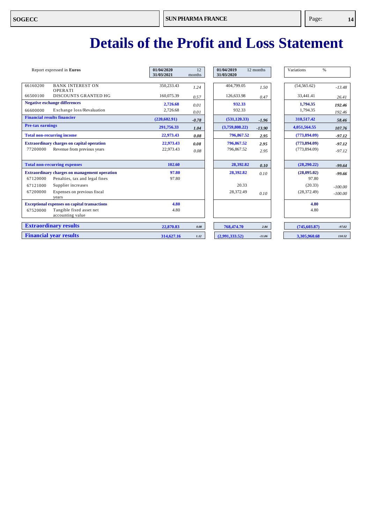| Report expressed in Euros                                | 01/04/2020<br>31/03/2021 | 12<br>months | 01/04/2019<br>31/03/2020 | 12 months | Variations    | $\%$      |
|----------------------------------------------------------|--------------------------|--------------|--------------------------|-----------|---------------|-----------|
| 66160200<br><b>BANK INTEREST ON</b><br>OPERATI           | 350,233.43               | 1.24         | 404,799.05               | 1.50      | (54, 565.62)  | $-13.48$  |
| <b>DISCOUNTS GRANTED HG</b><br>66500100                  | 160,075.39               | 0.57         | 126,633.98               | 0.47      | 33,441.41     | 26.41     |
| <b>Negative exchange differences</b>                     | 2,726.68                 | 0.01         | 932.33                   |           | 1,794.35      | 192.46    |
| 66600000<br>Exchange loss/Revaluation                    | 2,726.68                 | 0.01         | 932.33                   |           | 1,794.35      | 192.46    |
| <b>Financial results financier</b>                       | (220, 602.91)            | $-0.78$      | (531, 120.33)            | $-1.96$   | 310.517.42    | 58.46     |
| <b>Pre-tax earnings</b>                                  | 291,756.33               | 1.04         | (3,759,808.22)           | $-13.90$  | 4,051,564.55  | 107.76    |
| <b>Total non-recurring income</b>                        | 22,973.43                | 0.08         | 796,867.52               | 2.95      | (773,894.09)  | $-97.12$  |
| <b>Extraordinary charges on capital operation</b>        | 22,973.43                | 0.08         | 796,867.52               | 2.95      | (773, 894.09) | $-97.12$  |
| 77200000<br>Revenue from previous years                  | 22,973.43                | 0.08         | 796,867.52               | 2.95      | (773, 894.09) | $-97.12$  |
|                                                          |                          |              |                          |           |               |           |
| <b>Total non-recurring expenses</b>                      | 102.60                   |              | 28,392.82                | 0.10      | (28, 290.22)  | $-99.64$  |
| <b>Extraordinary charges on management operation</b>     | 97.80                    |              | 28,392.82                | 0.10      | (28,095.02)   | $-99.66$  |
| Penalties, tax and legal fines<br>67120000               | 97.80                    |              |                          |           | 97.80         |           |
| 67121000<br>Supplier increases                           |                          |              | 20.33                    |           | (20.33)       | $-100.00$ |
| 67200000<br>Expenses on previous fiscal<br>years         |                          |              | 28,372.49                | 0.10      | (28, 372.49)  | $-100.00$ |
| <b>Exceptional expenses on capital transactions</b>      | 4.80                     |              |                          |           | 4.80          |           |
| Tangible fixed asset net<br>67520000<br>accounting value | 4.80                     |              |                          |           | 4.80          |           |
| <b>Extraordinary results</b>                             | 22,870.83                | 0.08         | 768,474.70               | 2.84      | (745, 603.87) | $-97.02$  |
| <b>Financial year results</b>                            | 314,627.16               | 1.12         | (2.991.333.52)           | $-11.06$  | 3,305,960.68  | 110.52    |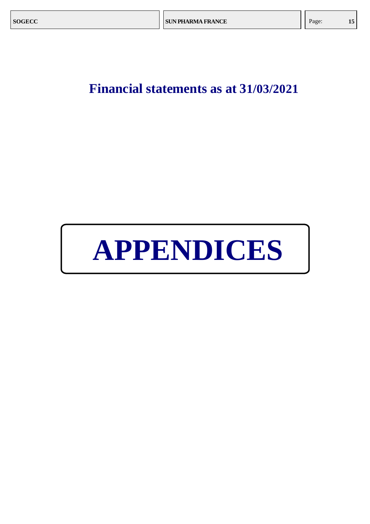### **Financial statements as at 31/03/2021**

# **APPENDICES**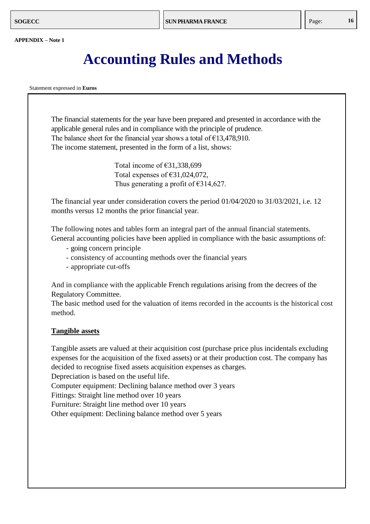### **Accounting Rules and Methods**

Statement expressed in **Euros**

The financial statements for the year have been prepared and presented in accordance with the applicable general rules and in compliance with the principle of prudence. The balance sheet for the financial year shows a total of  $£13,478,910$ . The income statement, presented in the form of a list, shows:

> Total income of €31,338,699 Total expenses of €31,024,072, Thus generating a profit of  $\epsilon$ 314,627.

The financial year under consideration covers the period 01/04/2020 to 31/03/2021, i.e. 12 months versus 12 months the prior financial year.

The following notes and tables form an integral part of the annual financial statements. General accounting policies have been applied in compliance with the basic assumptions of:

- - going concern principle
	- consistency of accounting methods over the financial years
	- appropriate cut-offs

And in compliance with the applicable French regulations arising from the decrees of the Regulatory Committee.

The basic method used for the valuation of items recorded in the accounts is the historical cost method.

#### **Tangible assets**

Tangible assets are valued at their acquisition cost (purchase price plus incidentals excluding expenses for the acquisition of the fixed assets) or at their production cost. The company has decided to recognise fixed assets acquisition expenses as charges.

Depreciation is based on the useful life.

Computer equipment: Declining balance method over 3 years

Fittings: Straight line method over 10 years

Furniture: Straight line method over 10 years

Other equipment: Declining balance method over 5 years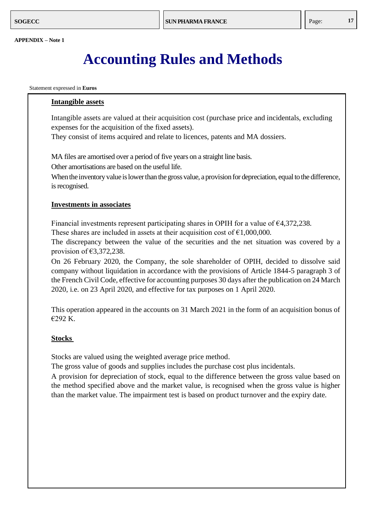### **Accounting Rules and Methods**

Statement expressed in **Euros**

#### **Intangible assets**

Intangible assets are valued at their acquisition cost (purchase price and incidentals, excluding expenses for the acquisition of the fixed assets).

They consist of items acquired and relate to licences, patents and MA dossiers.

MA files are amortised over a period of five years on a straight line basis.

Other amortisations are based on the useful life.

When the inventory value is lower than the gross value, a provision for depreciation, equal to the difference, is recognised.

#### **Investments in associates**

Financial investments represent participating shares in OPIH for a value of  $\epsilon$ 4,372,238.

These shares are included in assets at their acquisition cost of  $\epsilon$ 1,000,000.

The discrepancy between the value of the securities and the net situation was covered by a provision of  $€3,372,238$ .

On 26 February 2020, the Company, the sole shareholder of OPIH, decided to dissolve said company without liquidation in accordance with the provisions of Article 1844-5 paragraph 3 of the French Civil Code, effective for accounting purposes 30 days after the publication on 24 March 2020, i.e. on 23 April 2020, and effective for tax purposes on 1 April 2020.

This operation appeared in the accounts on 31 March 2021 in the form of an acquisition bonus of €292 K.

#### **Stocks**

Stocks are valued using the weighted average price method.

The gross value of goods and supplies includes the purchase cost plus incidentals.

A provision for depreciation of stock, equal to the difference between the gross value based on the method specified above and the market value, is recognised when the gross value is higher than the market value. The impairment test is based on product turnover and the expiry date.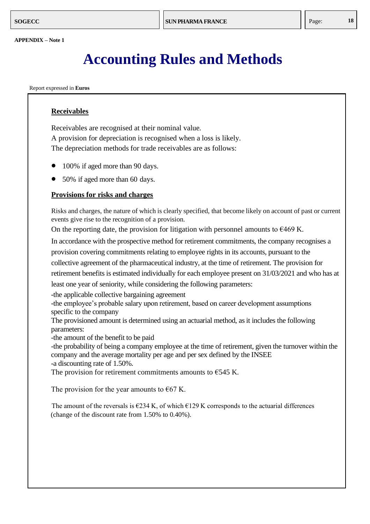### **Accounting Rules and Methods**

Report expressed in **Euros**

#### **Receivables**

Receivables are recognised at their nominal value. A provision for depreciation is recognised when a loss is likely. The depreciation methods for trade receivables are as follows:

- 100% if aged more than 90 days.
- 50% if aged more than 60 days.

#### **Provisions for risks and charges**

Risks and charges, the nature of which is clearly specified, that become likely on account of past or current events give rise to the recognition of a provision.

On the reporting date, the provision for litigation with personnel amounts to  $\epsilon$ 469 K.

In accordance with the prospective method for retirement commitments, the company recognises a provision covering commitments relating to employee rights in its accounts, pursuant to the collective agreement of the pharmaceutical industry, at the time of retirement. The provision for retirement benefits is estimated individually for each employee present on 31/03/2021 and who has at least one year of seniority, while considering the following parameters:

-the applicable collective bargaining agreement

-the employee's probable salary upon retirement, based on career development assumptions specific to the company

The provisioned amount is determined using an actuarial method, as it includes the following parameters:

-the amount of the benefit to be paid

-the probability of being a company employee at the time of retirement, given the turnover within the company and the average mortality per age and per sex defined by the INSEE -a discounting rate of 1.50%.

The provision for retirement commitments amounts to  $E$ 545 K.

The provision for the year amounts to  $\epsilon$ 67 K.

The amount of the reversals is  $\epsilon$ 234 K, of which  $\epsilon$ 129 K corresponds to the actuarial differences (change of the discount rate from 1.50% to 0.40%).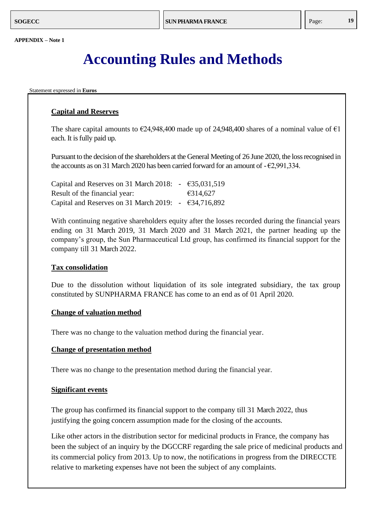### **Accounting Rules and Methods**

Statement expressed in **Euros**

#### **Capital and Reserves**

The share capital amounts to  $\epsilon$ 24,948,400 made up of 24,948,400 shares of a nominal value of  $\epsilon$ 1 each. It is fully paid up.

Pursuant to the decision of the shareholders at the General Meeting of 26 June 2020, the loss recognised in the accounts as on 31 March 2020 has been carried forward for an amount of  $-\epsilon$ 2,991,334.

| Capital and Reserves on 31 March 2018: $-$ €35,031,519 |          |
|--------------------------------------------------------|----------|
| Result of the financial year:                          | €314,627 |
| Capital and Reserves on 31 March 2019: $-$ €34,716,892 |          |

With continuing negative shareholders equity after the losses recorded during the financial years ending on 31 March 2019, 31 March 2020 and 31 March 2021, the partner heading up the company's group, the Sun Pharmaceutical Ltd group, has confirmed its financial support for the company till 31 March 2022.

#### **Tax consolidation**

Due to the dissolution without liquidation of its sole integrated subsidiary, the tax group constituted by SUNPHARMA FRANCE has come to an end as of 01 April 2020.

#### **Change of valuation method**

There was no change to the valuation method during the financial year.

#### **Change of presentation method**

There was no change to the presentation method during the financial year.

#### **Significant events**

The group has confirmed its financial support to the company till 31 March 2022, thus justifying the going concern assumption made for the closing of the accounts.

Like other actors in the distribution sector for medicinal products in France, the company has been the subject of an inquiry by the DGCCRF regarding the sale price of medicinal products and its commercial policy from 2013. Up to now, the notifications in progress from the DIRECCTE relative to marketing expenses have not been the subject of any complaints.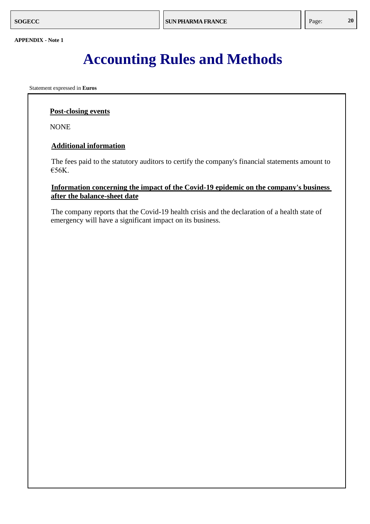### **Accounting Rules and Methods**

Statement expressed in **Euros**

#### **Post-closing events**

NONE

#### **Additional information**

The fees paid to the statutory auditors to certify the company's financial statements amount to €56K.

#### **Information concerning the impact of the Covid-19 epidemic on the company's business after the balance-sheet date**

The company reports that the Covid-19 health crisis and the declaration of a health state of emergency will have a significant impact on its business.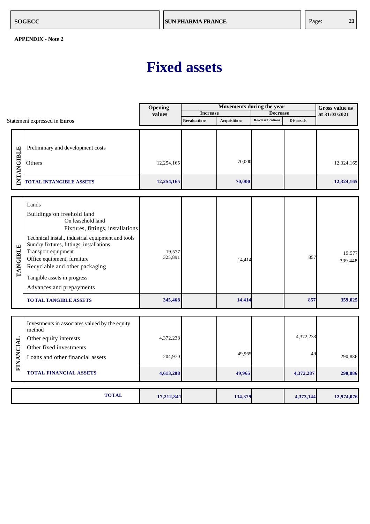### **Fixed assets**

<span id="page-24-0"></span>

|                   |                                                                                                                                                                                                                                                                                                                                                                                    | Opening                      |                     | <b>Gross value as</b> |                           |                  |                              |
|-------------------|------------------------------------------------------------------------------------------------------------------------------------------------------------------------------------------------------------------------------------------------------------------------------------------------------------------------------------------------------------------------------------|------------------------------|---------------------|-----------------------|---------------------------|------------------|------------------------------|
|                   |                                                                                                                                                                                                                                                                                                                                                                                    | values                       | <b>Increase</b>     |                       | <b>Decrease</b>           |                  | at 31/03/2021                |
|                   | Statement expressed in Euros                                                                                                                                                                                                                                                                                                                                                       |                              | <b>Revaluations</b> | <b>Acquisitions</b>   | <b>Re-classifications</b> | <b>Disposals</b> |                              |
| <b>INTANGIBLE</b> | Preliminary and development costs<br>Others                                                                                                                                                                                                                                                                                                                                        | 12,254,165                   |                     | 70,000                |                           |                  | 12,324,165                   |
|                   | <b>TOTAL INTANGIBLE ASSETS</b>                                                                                                                                                                                                                                                                                                                                                     | 12,254,165                   |                     | 70,000                |                           |                  | 12,324,165                   |
| TANGIBLE          | Lands<br>Buildings on freehold land<br>On leasehold land<br>Fixtures, fittings, installations<br>Technical instal., industrial equipment and tools<br>Sundry fixtures, fittings, installations<br>Transport equipment<br>Office equipment, furniture<br>Recyclable and other packaging<br>Tangible assets in progress<br>Advances and prepayments<br><b>TO TAL TANGIBLE ASSETS</b> | 19,577<br>325,891<br>345,468 |                     | 14,414<br>14,414      |                           | 857<br>857       | 19,577<br>339,448<br>359,025 |
|                   |                                                                                                                                                                                                                                                                                                                                                                                    |                              |                     |                       |                           |                  |                              |
|                   | Investments in associates valued by the equity<br>method<br>Other equity interests<br>Other fixed investments                                                                                                                                                                                                                                                                      | 4,372,238                    |                     |                       |                           | 4,372,238        |                              |
| FINANCIAL         | Loans and other financial assets                                                                                                                                                                                                                                                                                                                                                   | 204,970                      |                     | 49,965                |                           | 49               | 290,886                      |
|                   | <b>TOTAL FINANCIAL ASSETS</b>                                                                                                                                                                                                                                                                                                                                                      | 4,613,208                    |                     | 49,965                |                           | 4,372,287        | 290,886                      |
|                   | <b>TOTAL</b>                                                                                                                                                                                                                                                                                                                                                                       | 17,212,841                   |                     | 134,379               |                           | 4,373,144        | 12,974,076                   |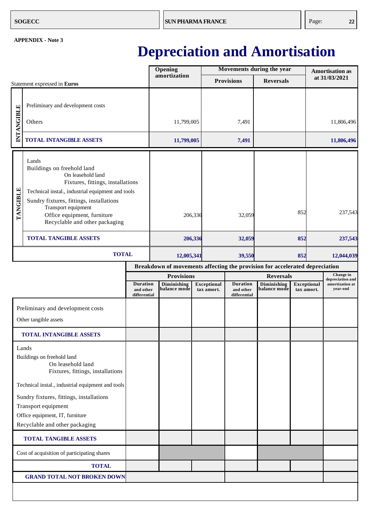### **Depreciation and Amortisation**

<span id="page-25-0"></span>

|            |                                                                                                                                                                                                                                                                                        |                                              |  | Opening                                          |         |                                  |                                              | Movements during the year                       |     | <b>Amortisation as</b>           |                                                              |
|------------|----------------------------------------------------------------------------------------------------------------------------------------------------------------------------------------------------------------------------------------------------------------------------------------|----------------------------------------------|--|--------------------------------------------------|---------|----------------------------------|----------------------------------------------|-------------------------------------------------|-----|----------------------------------|--------------------------------------------------------------|
|            | Statement expressed in Euros                                                                                                                                                                                                                                                           |                                              |  | amortization                                     |         |                                  | <b>Provisions</b>                            | <b>Reversals</b>                                |     |                                  | at 31/03/2021                                                |
| INTANGIBLE | Preliminary and development costs<br>Others                                                                                                                                                                                                                                            |                                              |  | 11,799,005                                       |         |                                  | 7,491                                        |                                                 |     |                                  | 11,806,496                                                   |
|            | <b>TOTAL INTANGIBLE ASSETS</b>                                                                                                                                                                                                                                                         |                                              |  | 11,799,005                                       |         |                                  | 7,491                                        |                                                 |     |                                  | 11,806,496                                                   |
| TANGIBLE   | Lands<br>Buildings on freehold land<br>On leasehold land<br>Fixtures, fittings, installations<br>Technical instal., industrial equipment and tools<br>Sundry fixtures, fittings, installations<br>Transport equipment<br>Office equipment, furniture<br>Recyclable and other packaging |                                              |  |                                                  | 206,336 |                                  | 32,059                                       |                                                 | 852 |                                  | 237,543                                                      |
|            | <b>TOTAL TANGIBLE ASSETS</b>                                                                                                                                                                                                                                                           |                                              |  |                                                  | 206,336 |                                  | 32,059                                       |                                                 | 852 |                                  | 237,543                                                      |
|            | <b>TOTAL</b>                                                                                                                                                                                                                                                                           |                                              |  | 12,005,341                                       |         |                                  | 39,550                                       | 852                                             |     |                                  | 12,044,039                                                   |
|            | Breakdown of movements affecting the provision for accelerated depreciation                                                                                                                                                                                                            |                                              |  |                                                  |         |                                  |                                              |                                                 |     |                                  |                                                              |
|            |                                                                                                                                                                                                                                                                                        | <b>Duration</b><br>and other<br>differential |  | <b>Provisions</b><br>Diminishing<br>balance mode |         | <b>Exceptional</b><br>tax amort. | <b>Duration</b><br>and other<br>differential | <b>Reversals</b><br>Diminishing<br>balance mode |     | <b>Exceptional</b><br>tax amort. | Change in<br>depreciation and<br>amortization at<br>year-end |
|            | Preliminary and development costs<br>Other tangible assets                                                                                                                                                                                                                             |                                              |  |                                                  |         |                                  |                                              |                                                 |     |                                  |                                                              |
|            | <b>TOTAL INTANGIBLE ASSETS</b>                                                                                                                                                                                                                                                         |                                              |  |                                                  |         |                                  |                                              |                                                 |     |                                  |                                                              |
|            | Lands<br>Buildings on freehold land<br>On leasehold land<br>Fixtures, fittings, installations<br>Technical instal., industrial equipment and tools<br>Sundry fixtures, fittings, installations<br>Transport equipment                                                                  |                                              |  |                                                  |         |                                  |                                              |                                                 |     |                                  |                                                              |
|            | Office equipment, IT, furniture<br>Recyclable and other packaging                                                                                                                                                                                                                      |                                              |  |                                                  |         |                                  |                                              |                                                 |     |                                  |                                                              |
|            | <b>TOTAL TANGIBLE ASSETS</b>                                                                                                                                                                                                                                                           |                                              |  |                                                  |         |                                  |                                              |                                                 |     |                                  |                                                              |
|            | Cost of acquisition of participating shares                                                                                                                                                                                                                                            |                                              |  |                                                  |         |                                  |                                              |                                                 |     |                                  |                                                              |
|            | <b>TOTAL</b>                                                                                                                                                                                                                                                                           |                                              |  |                                                  |         |                                  |                                              |                                                 |     |                                  |                                                              |
|            | <b>GRAND TOTAL NOT BROKEN DOWN</b>                                                                                                                                                                                                                                                     |                                              |  |                                                  |         |                                  |                                              |                                                 |     |                                  |                                                              |
|            |                                                                                                                                                                                                                                                                                        |                                              |  |                                                  |         |                                  |                                              |                                                 |     |                                  |                                                              |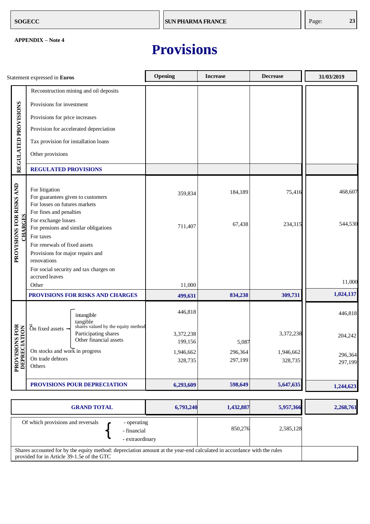### **Provisions**

|                                            | Statement expressed in Euros                                                                        | Opening              | <b>Increase</b>    | <b>Decrease</b>      | 31/03/2019         |
|--------------------------------------------|-----------------------------------------------------------------------------------------------------|----------------------|--------------------|----------------------|--------------------|
|                                            | Reconstruction mining and oil deposits                                                              |                      |                    |                      |                    |
|                                            | Provisions for investment                                                                           |                      |                    |                      |                    |
|                                            | Provisions for price increases                                                                      |                      |                    |                      |                    |
|                                            | Provision for accelerated depreciation                                                              |                      |                    |                      |                    |
|                                            | Tax provision for installation loans                                                                |                      |                    |                      |                    |
| REGULATED PROVISIONS                       | Other provisions                                                                                    |                      |                    |                      |                    |
|                                            | <b>REGULATED PROVISIONS</b>                                                                         |                      |                    |                      |                    |
|                                            | For litigation<br>For guarantees given to customers<br>For losses on futures markets                | 359,834              | 184,189            | 75,416               | 468,607            |
| PROVISIONS FOR RISKS AND<br><b>CHARGES</b> | For fines and penalties<br>For exchange losses<br>For pensions and similar obligations<br>For taxes | 711,407              | 67,438             | 234,315              | 544,530            |
|                                            | For renewals of fixed assets<br>Provisions for major repairs and<br>renovations                     |                      |                    |                      |                    |
|                                            | For social security and tax charges on<br>accrued leaves                                            |                      |                    |                      | 11,000             |
|                                            | Other                                                                                               | 11,000               |                    |                      |                    |
|                                            | PROVISIONS FOR RISKS AND CHARGES                                                                    | 499,631              | 834,238            | 309,731              | 1,024,137          |
|                                            | intangible<br>tangible<br>shares valued by the equity method                                        | 446,818              |                    |                      | 446,818            |
|                                            | $\alpha$ on fixed assets $\overline{\phantom{a}}$<br>Participating shares<br>Other financial assets | 3,372,238<br>199,156 | 5,087              | 3,372,238            | 204,242            |
| <b>PROVISIONS FOR<br/>DEPRECIATION</b>     | On stocks and work in progress<br>On trade debtors<br>Others                                        | 1,946,662<br>328,735 | 296,364<br>297,199 | 1,946,662<br>328,735 | 296,364<br>297,199 |
|                                            | PROVISIONS POUR DEPRECIATION                                                                        | 6,293,609            | 598,649            | 5,647,635            | 1,244,623          |

| <b>GRAND TOTAL</b>                                                                                                                                                   | 6,793,240 | 1,432,887 | 5,957,366 | 2,268,761 |
|----------------------------------------------------------------------------------------------------------------------------------------------------------------------|-----------|-----------|-----------|-----------|
| Of which provisions and reversals<br>- operating<br>- financial<br>- extraordinary                                                                                   |           | 850,276   | 2,585,128 |           |
| Shares accounted for by the equity method: depreciation amount at the year-end calculated in accordance with the rules<br>provided for in Article 39-1.5e of the GTC |           |           |           |           |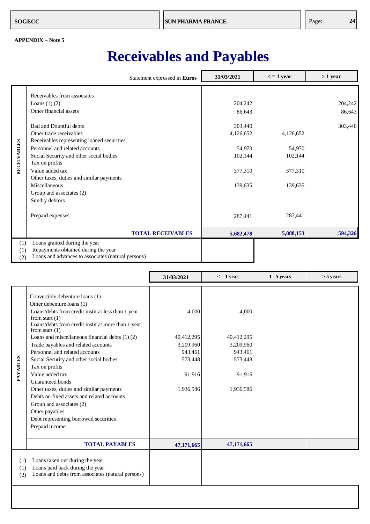### **Receivables and Payables**

<span id="page-27-0"></span>

|                    |                                                                                                                                                                                                                                                                                                                                                                                                                                       | Statement expressed in Euros | 31/03/2021                                                                                      | $\epsilon$ = 1 year                                             | $>1$ year                    |
|--------------------|---------------------------------------------------------------------------------------------------------------------------------------------------------------------------------------------------------------------------------------------------------------------------------------------------------------------------------------------------------------------------------------------------------------------------------------|------------------------------|-------------------------------------------------------------------------------------------------|-----------------------------------------------------------------|------------------------------|
| <b>RECEIVABLES</b> | Receivables from associates<br>Loans $(1)$ $(2)$<br>Other financial assets<br><b>Bad and Doubtful debts</b><br>Other trade receivables<br>Receivables representing loaned securities<br>Personnel and related accounts<br>Social Security and other social bodies<br>Tax on profits<br>Value added tax<br>Other taxes, duties and similar payments<br>Miscellaneous<br>Group and associates (2)<br>Sundry debtors<br>Prepaid expenses |                              | 204,242<br>86,643<br>303,440<br>4,126,652<br>54,970<br>102,144<br>377,310<br>139,635<br>287,441 | 4,126,652<br>54,970<br>102,144<br>377,310<br>139,635<br>287,441 | 204,242<br>86,643<br>303,440 |
|                    |                                                                                                                                                                                                                                                                                                                                                                                                                                       | <b>TOTAL RECEIVABLES</b>     | 5,682,478                                                                                       | 5,088,153                                                       | 594,326                      |
| (1)<br>(1)<br>(2)  | Loans granted during the year<br>Repayments obtained during the year<br>Loans and advances to associates (natural persons)                                                                                                                                                                                                                                                                                                            |                              |                                                                                                 |                                                                 |                              |

|                   |                                                                                                                                                                                                                                                                                                                                                                                                                                                                                                                                                                                                                                                         | 31/03/2021                                                                    | $\epsilon$ = 1 year                                                           | $1 - 5$ years | $>$ 5 years |
|-------------------|---------------------------------------------------------------------------------------------------------------------------------------------------------------------------------------------------------------------------------------------------------------------------------------------------------------------------------------------------------------------------------------------------------------------------------------------------------------------------------------------------------------------------------------------------------------------------------------------------------------------------------------------------------|-------------------------------------------------------------------------------|-------------------------------------------------------------------------------|---------------|-------------|
| <b>PAYABLES</b>   | Convertible debenture loans (1)<br>Other debenture loans (1)<br>Loans/debts from credit instit at less than 1 year<br>from start $(1)$<br>Loans/debts from credit instit at more than 1 year<br>from start $(1)$<br>Loans and miscellaneous financial debts $(1)$ $(2)$<br>Trade payables and related accounts<br>Personnel and related accounts<br>Social Security and other social bodies<br>Tax on profits<br>Value added tax<br>Guaranteed bonds<br>Other taxes, duties and similar payments<br>Debts on fixed assets and related accounts<br>Group and associates (2)<br>Other payables<br>Debt representing borrowed securities<br>Prepaid income | 4,000<br>40,412,295<br>3,209,960<br>943,461<br>573,448<br>91,916<br>1,936,586 | 4,000<br>40,412,295<br>3,209,960<br>943,461<br>573,448<br>91,916<br>1,936,586 |               |             |
|                   | <b>TOTAL PAYABLES</b>                                                                                                                                                                                                                                                                                                                                                                                                                                                                                                                                                                                                                                   | 47,171,665                                                                    | 47,171,665                                                                    |               |             |
| (1)<br>(1)<br>(2) | Loans taken out during the year<br>Loans paid back during the year<br>Loans and debts from associates (natural persons)                                                                                                                                                                                                                                                                                                                                                                                                                                                                                                                                 |                                                                               |                                                                               |               |             |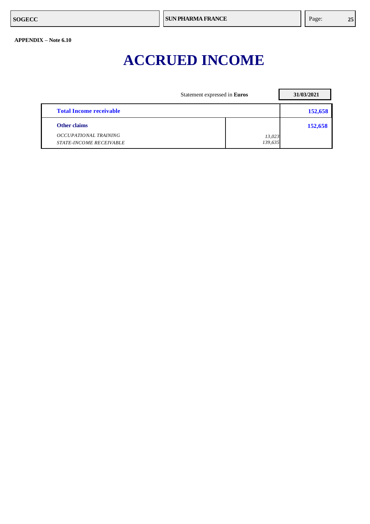### **ACCRUED INCOME**

|                                                         | Statement expressed in Euros | 31/03/2021 |
|---------------------------------------------------------|------------------------------|------------|
| <b>Total Income receivable</b>                          |                              | 152,658    |
| Other claims                                            |                              | 152,658    |
| OCCUPATIONAL TRAINING<br><b>STATE-INCOME RECEIVABLE</b> | 13,023<br>139,635            |            |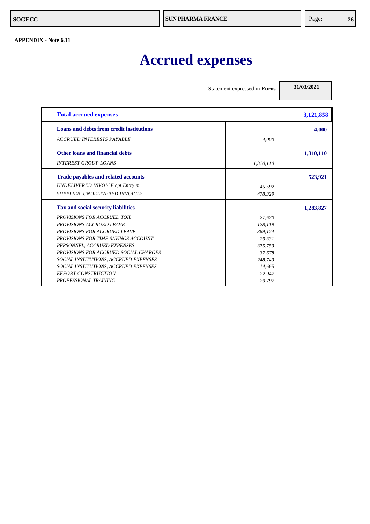#### <span id="page-29-0"></span>**APPENDIX - Note 6.11**

## **Accrued expenses**

Statement expressed in **Euros**

**31/03/2021**

| <b>Total accrued expenses</b>                   |           | 3,121,858 |
|-------------------------------------------------|-----------|-----------|
| <b>Loans and debts from credit institutions</b> |           | 4,000     |
| <b>ACCRUED INTERESTS PAYABLE</b>                | 4.000     |           |
| <b>Other loans and financial debts</b>          |           | 1,310,110 |
| <b>INTEREST GROUP LOANS</b>                     | 1,310,110 |           |
| <b>Trade payables and related accounts</b>      |           | 523,921   |
| <b>UNDELIVERED INVOICE cpt Entry m</b>          | 45,592    |           |
| SUPPLIER, UNDELIVERED INVOICES                  | 478,329   |           |
| Tax and social security liabilities             |           | 1,283,827 |
| <b>PROVISIONS FOR ACCRUED TOIL</b>              | 27,670    |           |
| PROVISIONS ACCRUED LEAVE                        | 128,119   |           |
| <b>PROVISIONS FOR ACCRUED LEAVE</b>             | 369.124   |           |
| <b>PROVISIONS FOR TIME SAVINGS ACCOUNT</b>      | 29,331    |           |
| PERSONNEL, ACCRUED EXPENSES                     | 375,753   |           |
| <b>PROVISIONS FOR ACCRUED SOCIAL CHARGES</b>    | 37,678    |           |
| SOCIAL INSTITUTIONS, ACCRUED EXPENSES           | 248,743   |           |
| SOCIAL INSTITUTIONS, ACCRUED EXPENSES           | 14,665    |           |
| <b>EFFORT CONSTRUCTION</b>                      | 22,947    |           |
| PROFESSIONAL TRAINING                           | 29,797    |           |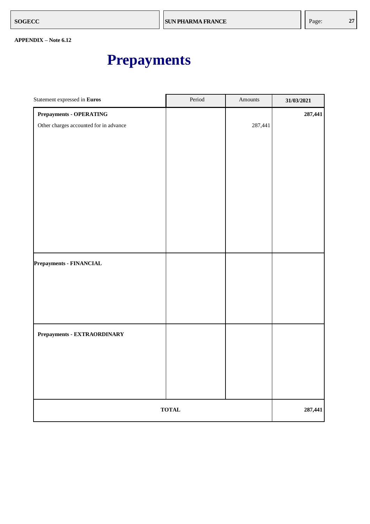### **Prepayments**

<span id="page-30-0"></span>

| Statement expressed in Euros           | Period       | Amounts | 31/03/2021 |
|----------------------------------------|--------------|---------|------------|
| <b>Prepayments - OPERATING</b>         |              |         | 287,441    |
| Other charges accounted for in advance |              | 287,441 |            |
|                                        |              |         |            |
|                                        |              |         |            |
|                                        |              |         |            |
|                                        |              |         |            |
|                                        |              |         |            |
|                                        |              |         |            |
|                                        |              |         |            |
|                                        |              |         |            |
|                                        |              |         |            |
|                                        |              |         |            |
| Prepayments - FINANCIAL                |              |         |            |
|                                        |              |         |            |
|                                        |              |         |            |
|                                        |              |         |            |
|                                        |              |         |            |
|                                        |              |         |            |
| Prepayments - EXTRAORDINARY            |              |         |            |
|                                        |              |         |            |
|                                        |              |         |            |
|                                        |              |         |            |
|                                        |              |         |            |
|                                        | <b>TOTAL</b> |         | 287,441    |
|                                        |              |         |            |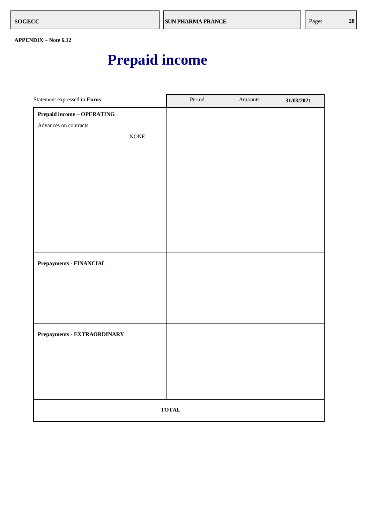### **Prepaid income**

<span id="page-31-0"></span>

| Statement expressed in Euros            | Period | Amounts | 31/03/2021 |
|-----------------------------------------|--------|---------|------------|
| $\bf{Prepaid\ income} - \bf{OPERATING}$ |        |         |            |
| Advances on contracts                   |        |         |            |
| $\rm{NONE}$                             |        |         |            |
|                                         |        |         |            |
|                                         |        |         |            |
|                                         |        |         |            |
|                                         |        |         |            |
|                                         |        |         |            |
|                                         |        |         |            |
|                                         |        |         |            |
|                                         |        |         |            |
|                                         |        |         |            |
| Prepayments - FINANCIAL                 |        |         |            |
|                                         |        |         |            |
|                                         |        |         |            |
|                                         |        |         |            |
|                                         |        |         |            |
| Prepayments - EXTRAORDINARY             |        |         |            |
|                                         |        |         |            |
|                                         |        |         |            |
|                                         |        |         |            |
|                                         |        |         |            |
|                                         |        |         |            |
| <b>TOTAL</b>                            |        |         |            |
|                                         |        |         |            |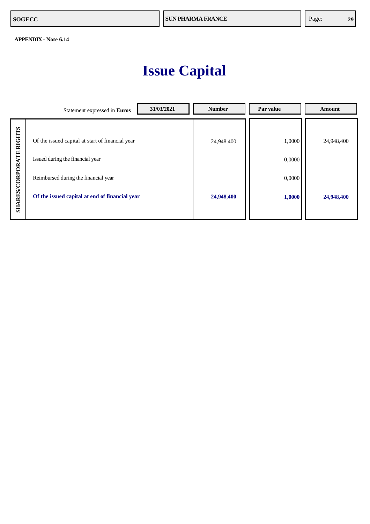### **Issue Capital**

|                         | 31/03/2021<br>Statement expressed in Euros                                           | <b>Number</b> | Par value        | Amount     |
|-------------------------|--------------------------------------------------------------------------------------|---------------|------------------|------------|
| <b>RIGHTS</b>           | Of the issued capital at start of financial year<br>Issued during the financial year | 24,948,400    | 1,0000<br>0,0000 | 24,948,400 |
|                         | Reimbursed during the financial year                                                 |               | 0,0000           |            |
| <b>SHARES/CORPORATE</b> | Of the issued capital at end of financial year                                       | 24,948,400    | 1,0000           | 24,948,400 |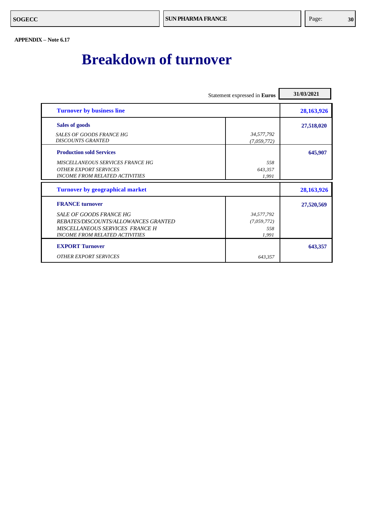### <span id="page-33-0"></span>**Breakdown of turnover**

|                                                                                                                                             | Statement expressed in Euros              | 31/03/2021 |
|---------------------------------------------------------------------------------------------------------------------------------------------|-------------------------------------------|------------|
| <b>Turnover by business line</b>                                                                                                            |                                           | 28,163,926 |
| <b>Sales of goods</b>                                                                                                                       |                                           | 27,518,020 |
| SALES OF GOODS FRANCE HG<br><b>DISCOUNTS GRANTED</b>                                                                                        | 34,577,792<br>(7,059,772)                 |            |
| <b>Production sold Services</b>                                                                                                             |                                           | 645,907    |
| MISCELLANEOUS SERVICES FRANCE HG<br><b>OTHER EXPORT SERVICES</b><br><b>INCOME FROM RELATED ACTIVITIES</b>                                   | 558<br>643,357<br>1,991                   |            |
| <b>Turnover by geographical market</b>                                                                                                      |                                           | 28,163,926 |
| <b>FRANCE</b> turnover                                                                                                                      |                                           | 27,520,569 |
| SALE OF GOODS FRANCE HG<br>REBATES/DISCOUNTS/ALLOWANCES GRANTED<br>MISCELLANEOUS SERVICES FRANCE H<br><b>INCOME FROM RELATED ACTIVITIES</b> | 34,577,792<br>(7,059,772)<br>558<br>1.991 |            |
| <b>EXPORT Turnover</b>                                                                                                                      |                                           | 643,357    |
| <b>OTHER EXPORT SERVICES</b>                                                                                                                | 643,357                                   |            |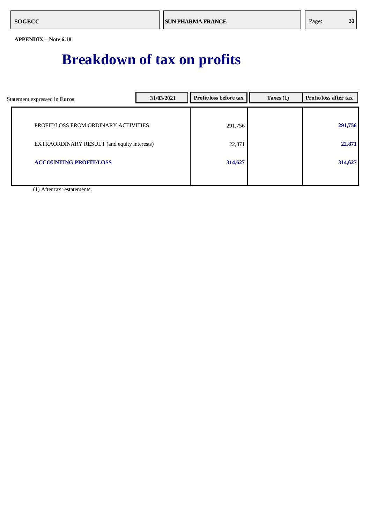### **Breakdown of tax on profits**

<span id="page-34-0"></span>

| Statement expressed in Euros                | 31/03/2021 | <b>Profit/loss before tax</b> | Taxes $(1)$ | Profit/loss after tax |
|---------------------------------------------|------------|-------------------------------|-------------|-----------------------|
|                                             |            |                               |             |                       |
| PROFIT/LOSS FROM ORDINARY ACTIVITIES        |            | 291,756                       |             | 291,756               |
| EXTRAORDINARY RESULT (and equity interests) |            | 22,871                        |             | 22,871                |
|                                             |            |                               |             |                       |
| <b>ACCOUNTING PROFIT/LOSS</b>               |            | 314,627                       |             | 314,627               |
|                                             |            |                               |             |                       |

(1) After tax restatements.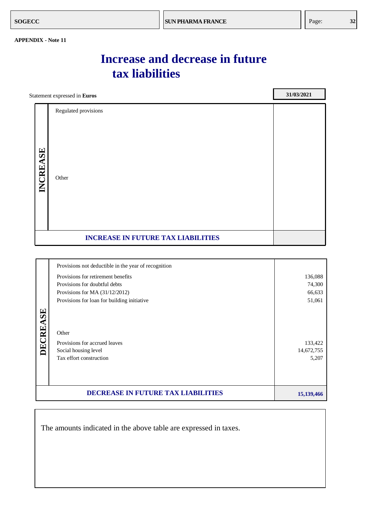**31**

#### **APPENDIX - Note 11**

### **Increase and decrease in future tax liabilities**

| Statement expressed in Euros |                                           | 31/03/2021 |
|------------------------------|-------------------------------------------|------------|
|                              | Regulated provisions                      |            |
| INCREASE                     | Other                                     |            |
|                              | <b>INCREASE IN FUTURE TAX LIABILITIES</b> |            |
|                              |                                           |            |

|          | Provisions not deductible in the year of recognition                                      |                                |
|----------|-------------------------------------------------------------------------------------------|--------------------------------|
|          | Provisions for retirement benefits                                                        | 136,088                        |
|          | Provisions for doubtful debts                                                             | 74,300                         |
|          | Provisions for MA $(31/12/2012)$                                                          | 66,633                         |
|          | Provisions for loan for building initiative                                               | 51,061                         |
| DECREASE | Other<br>Provisions for accrued leaves<br>Social housing level<br>Tax effort construction | 133,422<br>14,672,755<br>5,207 |
|          | <b>DECREASE IN FUTURE TAX LIABILITIES</b>                                                 | 15, 139, 466                   |

The amounts indicated in the above table are expressed in taxes.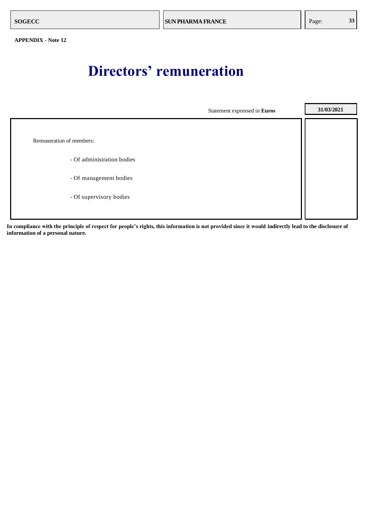### **Directors' remuneration**

<span id="page-36-0"></span>

**In compliance with the principle of respect for people's rights, this information is not provided since it would indirectly lead to the disclosure of information of a personal nature.**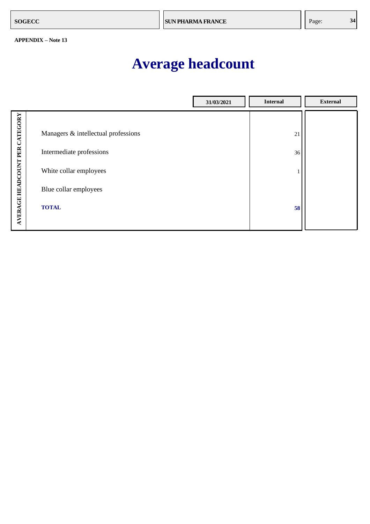### **Average headcount**

<span id="page-37-0"></span>

|                                |                                     | 31/03/2021 | <b>Internal</b> | <b>External</b> |
|--------------------------------|-------------------------------------|------------|-----------------|-----------------|
|                                |                                     |            |                 |                 |
|                                | Managers & intellectual professions |            | 21              |                 |
|                                | Intermediate professions            |            | 36              |                 |
| AVERAGE HEADCOUNT PER CATEGORY | White collar employees              |            |                 |                 |
|                                | Blue collar employees               |            |                 |                 |
|                                | <b>TOTAL</b>                        |            | 58              |                 |
|                                |                                     |            |                 |                 |